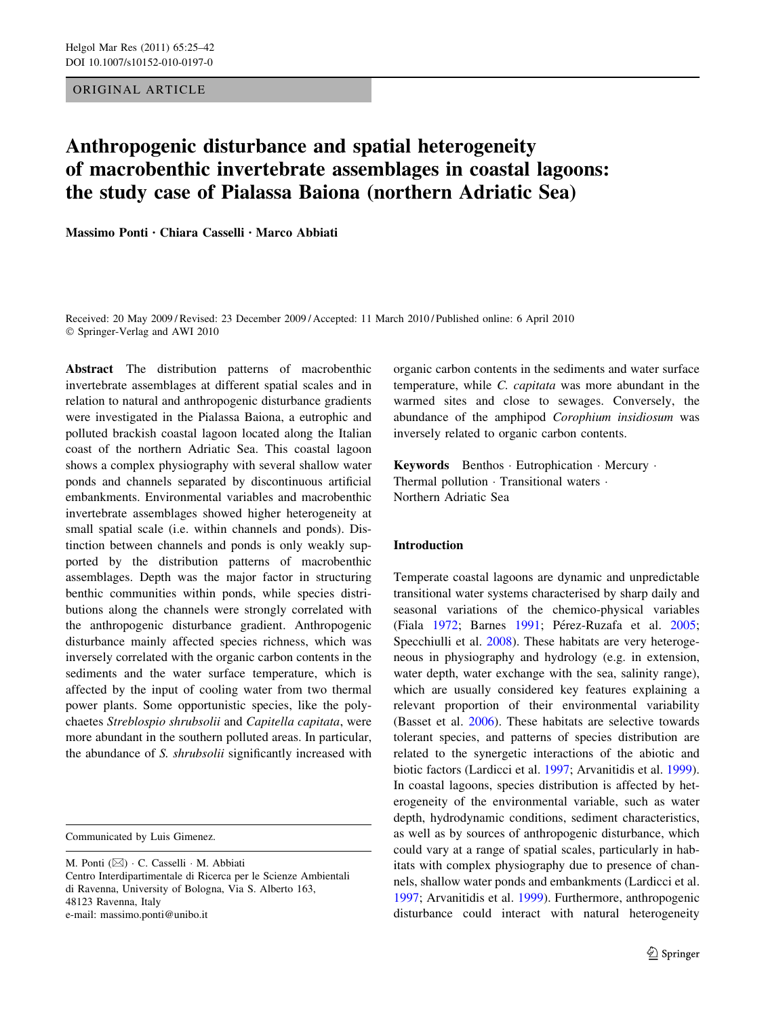# ORIGINAL ARTICLE

# Anthropogenic disturbance and spatial heterogeneity of macrobenthic invertebrate assemblages in coastal lagoons: the study case of Pialassa Baiona (northern Adriatic Sea)

Massimo Ponti • Chiara Casselli • Marco Abbiati

Received: 20 May 2009 / Revised: 23 December 2009 / Accepted: 11 March 2010 / Published online: 6 April 2010 © Springer-Verlag and AWI 2010

Abstract The distribution patterns of macrobenthic invertebrate assemblages at different spatial scales and in relation to natural and anthropogenic disturbance gradients were investigated in the Pialassa Baiona, a eutrophic and polluted brackish coastal lagoon located along the Italian coast of the northern Adriatic Sea. This coastal lagoon shows a complex physiography with several shallow water ponds and channels separated by discontinuous artificial embankments. Environmental variables and macrobenthic invertebrate assemblages showed higher heterogeneity at small spatial scale (i.e. within channels and ponds). Distinction between channels and ponds is only weakly supported by the distribution patterns of macrobenthic assemblages. Depth was the major factor in structuring benthic communities within ponds, while species distributions along the channels were strongly correlated with the anthropogenic disturbance gradient. Anthropogenic disturbance mainly affected species richness, which was inversely correlated with the organic carbon contents in the sediments and the water surface temperature, which is affected by the input of cooling water from two thermal power plants. Some opportunistic species, like the polychaetes Streblospio shrubsolii and Capitella capitata, were more abundant in the southern polluted areas. In particular, the abundance of S. shrubsolii significantly increased with

Communicated by Luis Gimenez.

M. Ponti  $(\boxtimes) \cdot C$ . Casselli  $\cdot$  M. Abbiati Centro Interdipartimentale di Ricerca per le Scienze Ambientali di Ravenna, University of Bologna, Via S. Alberto 163, 48123 Ravenna, Italy e-mail: massimo.ponti@unibo.it

organic carbon contents in the sediments and water surface temperature, while C. capitata was more abundant in the warmed sites and close to sewages. Conversely, the abundance of the amphipod Corophium insidiosum was inversely related to organic carbon contents.

Keywords Benthos · Eutrophication · Mercury · Thermal pollution · Transitional waters · Northern Adriatic Sea

# Introduction

Temperate coastal lagoons are dynamic and unpredictable transitional water systems characterised by sharp daily and seasonal variations of the chemico-physical variables (Fiala [1972](#page-16-0); Barnes [1991](#page-16-0); Pérez-Ruzafa et al. [2005](#page-17-0); Specchiulli et al. [2008](#page-17-0)). These habitats are very heterogeneous in physiography and hydrology (e.g. in extension, water depth, water exchange with the sea, salinity range), which are usually considered key features explaining a relevant proportion of their environmental variability (Basset et al. [2006](#page-16-0)). These habitats are selective towards tolerant species, and patterns of species distribution are related to the synergetic interactions of the abiotic and biotic factors (Lardicci et al. [1997](#page-16-0); Arvanitidis et al. [1999](#page-16-0)). In coastal lagoons, species distribution is affected by heterogeneity of the environmental variable, such as water depth, hydrodynamic conditions, sediment characteristics, as well as by sources of anthropogenic disturbance, which could vary at a range of spatial scales, particularly in habitats with complex physiography due to presence of channels, shallow water ponds and embankments (Lardicci et al. [1997](#page-16-0); Arvanitidis et al. [1999\)](#page-16-0). Furthermore, anthropogenic disturbance could interact with natural heterogeneity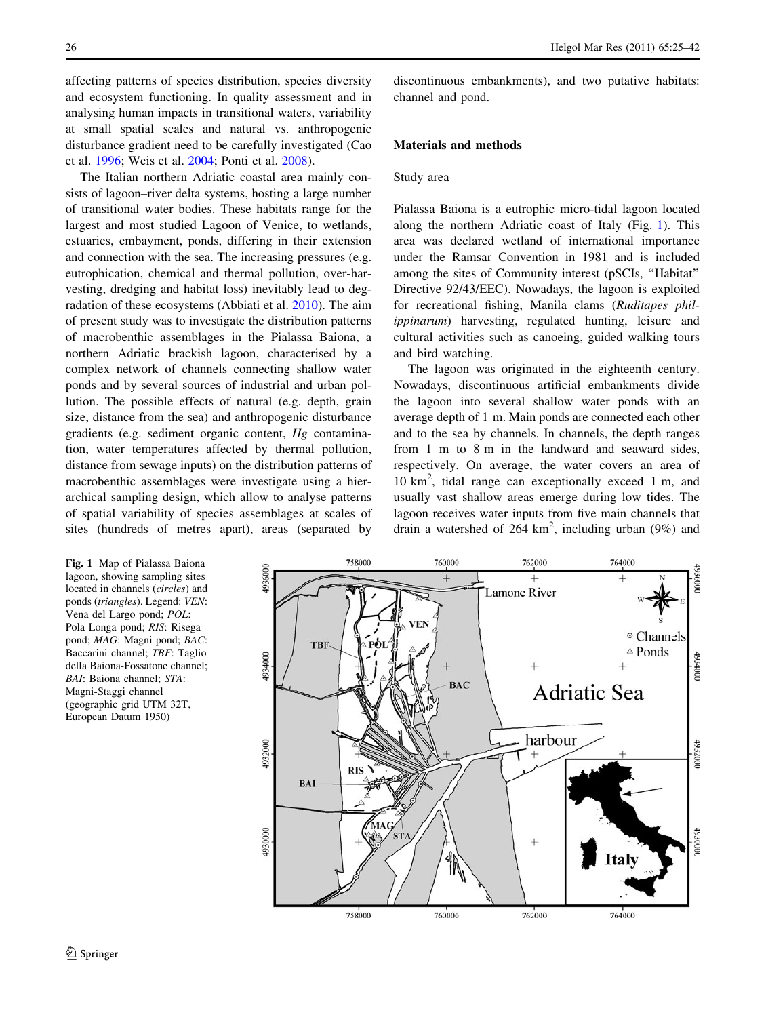<span id="page-1-0"></span>affecting patterns of species distribution, species diversity and ecosystem functioning. In quality assessment and in analysing human impacts in transitional waters, variability at small spatial scales and natural vs. anthropogenic disturbance gradient need to be carefully investigated (Cao et al. [1996;](#page-16-0) Weis et al. [2004](#page-17-0); Ponti et al. [2008](#page-17-0)).

The Italian northern Adriatic coastal area mainly consists of lagoon–river delta systems, hosting a large number of transitional water bodies. These habitats range for the largest and most studied Lagoon of Venice, to wetlands, estuaries, embayment, ponds, differing in their extension and connection with the sea. The increasing pressures (e.g. eutrophication, chemical and thermal pollution, over-harvesting, dredging and habitat loss) inevitably lead to degradation of these ecosystems (Abbiati et al. [2010](#page-16-0)). The aim of present study was to investigate the distribution patterns of macrobenthic assemblages in the Pialassa Baiona, a northern Adriatic brackish lagoon, characterised by a complex network of channels connecting shallow water ponds and by several sources of industrial and urban pollution. The possible effects of natural (e.g. depth, grain size, distance from the sea) and anthropogenic disturbance gradients (e.g. sediment organic content, Hg contamination, water temperatures affected by thermal pollution, distance from sewage inputs) on the distribution patterns of macrobenthic assemblages were investigate using a hierarchical sampling design, which allow to analyse patterns of spatial variability of species assemblages at scales of sites (hundreds of metres apart), areas (separated by

Fig. 1 Map of Pialassa Baiona lagoon, showing sampling sites located in channels (circles) and ponds (triangles). Legend: VEN: Vena del Largo pond; POL: Pola Longa pond; RIS: Risega pond; MAG: Magni pond; BAC: Baccarini channel; TBF: Taglio della Baiona-Fossatone channel; BAI: Baiona channel; STA: Magni-Staggi channel (geographic grid UTM 32T, European Datum 1950)

discontinuous embankments), and two putative habitats: channel and pond.

# Materials and methods

## Study area

Pialassa Baiona is a eutrophic micro-tidal lagoon located along the northern Adriatic coast of Italy (Fig. 1). This area was declared wetland of international importance under the Ramsar Convention in 1981 and is included among the sites of Community interest (pSCIs, ''Habitat'' Directive 92/43/EEC). Nowadays, the lagoon is exploited for recreational fishing, Manila clams (Ruditapes philippinarum) harvesting, regulated hunting, leisure and cultural activities such as canoeing, guided walking tours and bird watching.

The lagoon was originated in the eighteenth century. Nowadays, discontinuous artificial embankments divide the lagoon into several shallow water ponds with an average depth of 1 m. Main ponds are connected each other and to the sea by channels. In channels, the depth ranges from 1 m to 8 m in the landward and seaward sides, respectively. On average, the water covers an area of 10 km<sup>2</sup> , tidal range can exceptionally exceed 1 m, and usually vast shallow areas emerge during low tides. The lagoon receives water inputs from five main channels that drain a watershed of 264  $km^2$ , including urban (9%) and

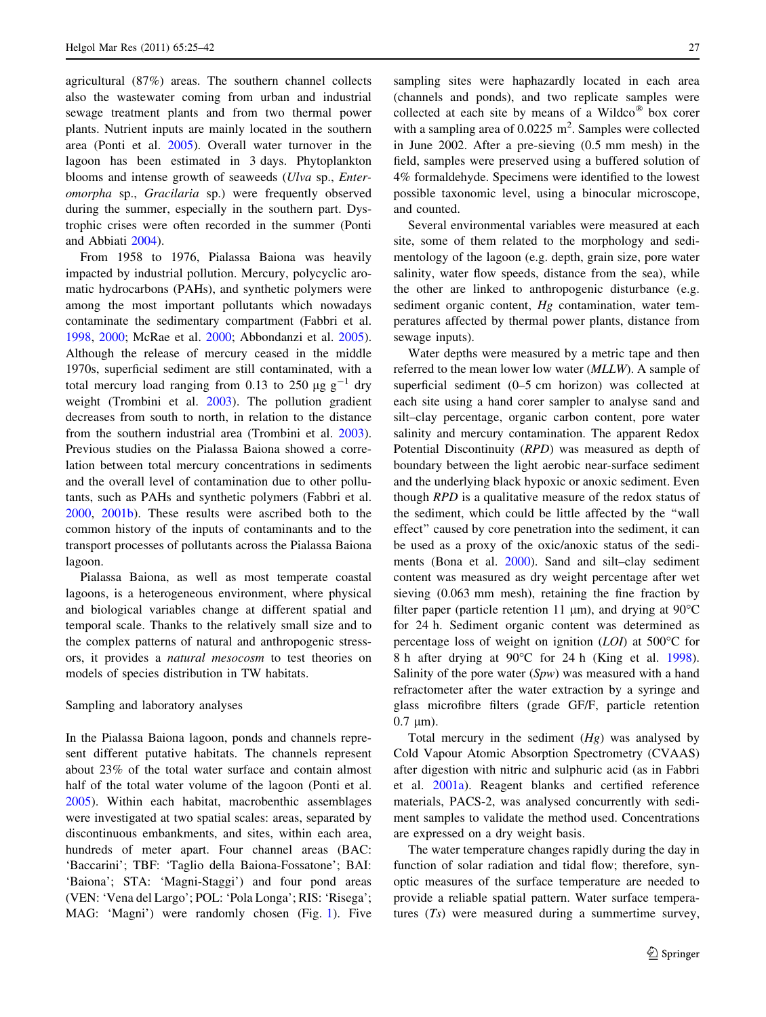agricultural (87%) areas. The southern channel collects also the wastewater coming from urban and industrial sewage treatment plants and from two thermal power plants. Nutrient inputs are mainly located in the southern area (Ponti et al. [2005](#page-17-0)). Overall water turnover in the lagoon has been estimated in 3 days. Phytoplankton blooms and intense growth of seaweeds (Ulva sp., Enteromorpha sp., Gracilaria sp.) were frequently observed during the summer, especially in the southern part. Dystrophic crises were often recorded in the summer (Ponti and Abbiati [2004](#page-17-0)).

From 1958 to 1976, Pialassa Baiona was heavily impacted by industrial pollution. Mercury, polycyclic aromatic hydrocarbons (PAHs), and synthetic polymers were among the most important pollutants which nowadays contaminate the sedimentary compartment (Fabbri et al. [1998,](#page-16-0) [2000](#page-16-0); McRae et al. [2000](#page-16-0); Abbondanzi et al. [2005](#page-16-0)). Although the release of mercury ceased in the middle 1970s, superficial sediment are still contaminated, with a total mercury load ranging from 0.13 to 250  $\mu$ g g<sup>-1</sup> dry weight (Trombini et al. [2003\)](#page-17-0). The pollution gradient decreases from south to north, in relation to the distance from the southern industrial area (Trombini et al. [2003](#page-17-0)). Previous studies on the Pialassa Baiona showed a correlation between total mercury concentrations in sediments and the overall level of contamination due to other pollutants, such as PAHs and synthetic polymers (Fabbri et al. [2000,](#page-16-0) [2001b\)](#page-16-0). These results were ascribed both to the common history of the inputs of contaminants and to the transport processes of pollutants across the Pialassa Baiona lagoon.

Pialassa Baiona, as well as most temperate coastal lagoons, is a heterogeneous environment, where physical and biological variables change at different spatial and temporal scale. Thanks to the relatively small size and to the complex patterns of natural and anthropogenic stressors, it provides a natural mesocosm to test theories on models of species distribution in TW habitats.

## Sampling and laboratory analyses

In the Pialassa Baiona lagoon, ponds and channels represent different putative habitats. The channels represent about 23% of the total water surface and contain almost half of the total water volume of the lagoon (Ponti et al. [2005\)](#page-17-0). Within each habitat, macrobenthic assemblages were investigated at two spatial scales: areas, separated by discontinuous embankments, and sites, within each area, hundreds of meter apart. Four channel areas (BAC: 'Baccarini'; TBF: 'Taglio della Baiona-Fossatone'; BAI: 'Baiona'; STA: 'Magni-Staggi') and four pond areas (VEN: 'Vena del Largo'; POL: 'Pola Longa'; RIS: 'Risega'; MAG: 'Magni') were randomly chosen (Fig. [1\)](#page-1-0). Five sampling sites were haphazardly located in each area (channels and ponds), and two replicate samples were collected at each site by means of a Wildco® box corer with a sampling area of  $0.0225 \text{ m}^2$ . Samples were collected in June 2002. After a pre-sieving (0.5 mm mesh) in the field, samples were preserved using a buffered solution of 4% formaldehyde. Specimens were identified to the lowest possible taxonomic level, using a binocular microscope, and counted.

Several environmental variables were measured at each site, some of them related to the morphology and sedimentology of the lagoon (e.g. depth, grain size, pore water salinity, water flow speeds, distance from the sea), while the other are linked to anthropogenic disturbance (e.g. sediment organic content, Hg contamination, water temperatures affected by thermal power plants, distance from sewage inputs).

Water depths were measured by a metric tape and then referred to the mean lower low water (MLLW). A sample of superficial sediment (0–5 cm horizon) was collected at each site using a hand corer sampler to analyse sand and silt–clay percentage, organic carbon content, pore water salinity and mercury contamination. The apparent Redox Potential Discontinuity (RPD) was measured as depth of boundary between the light aerobic near-surface sediment and the underlying black hypoxic or anoxic sediment. Even though RPD is a qualitative measure of the redox status of the sediment, which could be little affected by the ''wall effect'' caused by core penetration into the sediment, it can be used as a proxy of the oxic/anoxic status of the sediments (Bona et al. [2000\)](#page-16-0). Sand and silt–clay sediment content was measured as dry weight percentage after wet sieving (0.063 mm mesh), retaining the fine fraction by filter paper (particle retention 11  $\mu$ m), and drying at 90 $\degree$ C for 24 h. Sediment organic content was determined as percentage loss of weight on ignition  $(LOI)$  at 500°C for 8 h after drying at 90 $^{\circ}$ C for 24 h (King et al. [1998](#page-16-0)). Salinity of the pore water  $(Spw)$  was measured with a hand refractometer after the water extraction by a syringe and glass microfibre filters (grade GF/F, particle retention  $0.7 \mu m$ ).

Total mercury in the sediment  $(Hg)$  was analysed by Cold Vapour Atomic Absorption Spectrometry (CVAAS) after digestion with nitric and sulphuric acid (as in Fabbri et al. [2001a](#page-16-0)). Reagent blanks and certified reference materials, PACS-2, was analysed concurrently with sediment samples to validate the method used. Concentrations are expressed on a dry weight basis.

The water temperature changes rapidly during the day in function of solar radiation and tidal flow; therefore, synoptic measures of the surface temperature are needed to provide a reliable spatial pattern. Water surface temperatures (Ts) were measured during a summertime survey,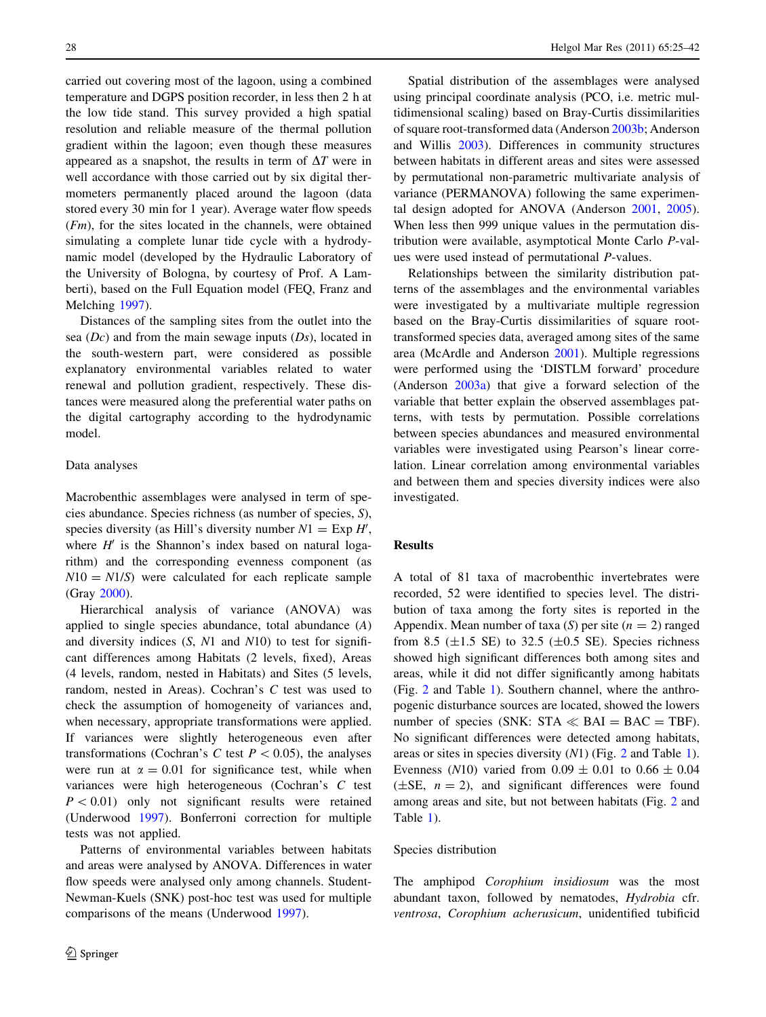carried out covering most of the lagoon, using a combined temperature and DGPS position recorder, in less then 2 h at the low tide stand. This survey provided a high spatial resolution and reliable measure of the thermal pollution gradient within the lagoon; even though these measures appeared as a snapshot, the results in term of  $\Delta T$  were in well accordance with those carried out by six digital thermometers permanently placed around the lagoon (data stored every 30 min for 1 year). Average water flow speeds  $(Fm)$ , for the sites located in the channels, were obtained simulating a complete lunar tide cycle with a hydrodynamic model (developed by the Hydraulic Laboratory of the University of Bologna, by courtesy of Prof. A Lamberti), based on the Full Equation model (FEQ, Franz and Melching [1997\)](#page-16-0).

Distances of the sampling sites from the outlet into the sea  $(Dc)$  and from the main sewage inputs  $(Ds)$ , located in the south-western part, were considered as possible explanatory environmental variables related to water renewal and pollution gradient, respectively. These distances were measured along the preferential water paths on the digital cartography according to the hydrodynamic model.

#### Data analyses

Macrobenthic assemblages were analysed in term of species abundance. Species richness (as number of species, S), species diversity (as Hill's diversity number  $NI = \text{Exp } H'$ , where  $H'$  is the Shannon's index based on natural logarithm) and the corresponding evenness component (as  $N10 = N1/S$ ) were calculated for each replicate sample (Gray [2000\)](#page-16-0).

Hierarchical analysis of variance (ANOVA) was applied to single species abundance, total abundance (A) and diversity indices  $(S, N1)$  and  $N10$ ) to test for significant differences among Habitats (2 levels, fixed), Areas (4 levels, random, nested in Habitats) and Sites (5 levels, random, nested in Areas). Cochran's C test was used to check the assumption of homogeneity of variances and, when necessary, appropriate transformations were applied. If variances were slightly heterogeneous even after transformations (Cochran's C test  $P \lt 0.05$ ), the analyses were run at  $\alpha = 0.01$  for significance test, while when variances were high heterogeneous (Cochran's C test  $P < 0.01$ ) only not significant results were retained (Underwood [1997\)](#page-17-0). Bonferroni correction for multiple tests was not applied.

Patterns of environmental variables between habitats and areas were analysed by ANOVA. Differences in water flow speeds were analysed only among channels. Student-Newman-Kuels (SNK) post-hoc test was used for multiple comparisons of the means (Underwood [1997\)](#page-17-0).

Spatial distribution of the assemblages were analysed using principal coordinate analysis (PCO, i.e. metric multidimensional scaling) based on Bray-Curtis dissimilarities of square root-transformed data (Anderson [2003b;](#page-16-0) Anderson and Willis [2003\)](#page-16-0). Differences in community structures between habitats in different areas and sites were assessed by permutational non-parametric multivariate analysis of variance (PERMANOVA) following the same experimental design adopted for ANOVA (Anderson [2001](#page-16-0), [2005](#page-16-0)). When less then 999 unique values in the permutation distribution were available, asymptotical Monte Carlo P-values were used instead of permutational P-values.

Relationships between the similarity distribution patterns of the assemblages and the environmental variables were investigated by a multivariate multiple regression based on the Bray-Curtis dissimilarities of square roottransformed species data, averaged among sites of the same area (McArdle and Anderson [2001](#page-16-0)). Multiple regressions were performed using the 'DISTLM forward' procedure (Anderson [2003a](#page-16-0)) that give a forward selection of the variable that better explain the observed assemblages patterns, with tests by permutation. Possible correlations between species abundances and measured environmental variables were investigated using Pearson's linear correlation. Linear correlation among environmental variables and between them and species diversity indices were also investigated.

# **Results**

A total of 81 taxa of macrobenthic invertebrates were recorded, 52 were identified to species level. The distribution of taxa among the forty sites is reported in the Appendix. Mean number of taxa (S) per site  $(n = 2)$  ranged from 8.5  $(\pm 1.5$  SE) to 32.5  $(\pm 0.5$  SE). Species richness showed high significant differences both among sites and areas, while it did not differ significantly among habitats (Fig. [2](#page-4-0) and Table [1\)](#page-5-0). Southern channel, where the anthropogenic disturbance sources are located, showed the lowers number of species (SNK:  $STA \ll BAI = BAC = TBF$ ). No significant differences were detected among habitats, areas or sites in species diversity (N1) (Fig. [2](#page-4-0) and Table [1](#page-5-0)). Evenness (N10) varied from  $0.09 \pm 0.01$  to  $0.66 \pm 0.04$  $(\pm SE, n = 2)$ , and significant differences were found among areas and site, but not between habitats (Fig. [2](#page-4-0) and Table [1](#page-5-0)).

#### Species distribution

The amphipod Corophium insidiosum was the most abundant taxon, followed by nematodes, Hydrobia cfr. ventrosa, Corophium acherusicum, unidentified tubificid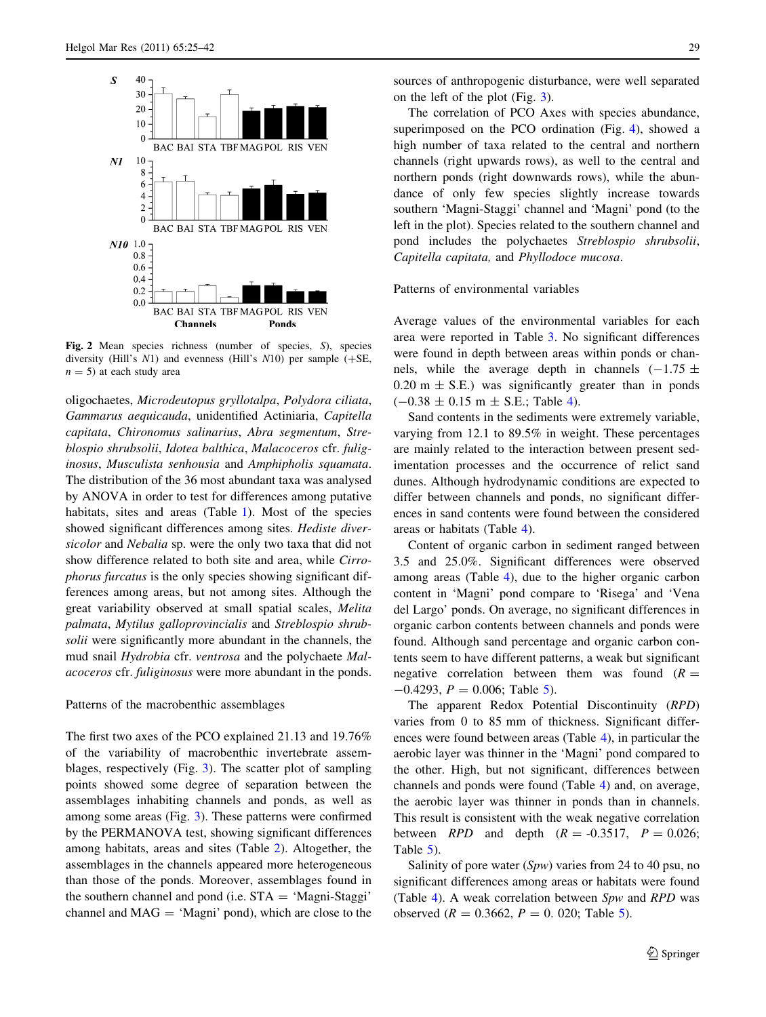<span id="page-4-0"></span>

Fig. 2 Mean species richness (number of species, S), species diversity (Hill's  $N1$ ) and evenness (Hill's  $N10$ ) per sample (+SE,  $n = 5$ ) at each study area

oligochaetes, Microdeutopus gryllotalpa, Polydora ciliata, Gammarus aequicauda, unidentified Actiniaria, Capitella capitata, Chironomus salinarius, Abra segmentum, Streblospio shrubsolii, Idotea balthica, Malacoceros cfr. fuliginosus, Musculista senhousia and Amphipholis squamata. The distribution of the 36 most abundant taxa was analysed by ANOVA in order to test for differences among putative habitats, sites and areas (Table [1\)](#page-5-0). Most of the species showed significant differences among sites. Hediste diversicolor and Nebalia sp. were the only two taxa that did not show difference related to both site and area, while Cirrophorus furcatus is the only species showing significant differences among areas, but not among sites. Although the great variability observed at small spatial scales, Melita palmata, Mytilus galloprovincialis and Streblospio shrubsolii were significantly more abundant in the channels, the mud snail Hydrobia cfr. ventrosa and the polychaete Malacoceros cfr. fuliginosus were more abundant in the ponds.

## Patterns of the macrobenthic assemblages

The first two axes of the PCO explained 21.13 and 19.76% of the variability of macrobenthic invertebrate assemblages, respectively (Fig. [3](#page-7-0)). The scatter plot of sampling points showed some degree of separation between the assemblages inhabiting channels and ponds, as well as among some areas (Fig. [3](#page-7-0)). These patterns were confirmed by the PERMANOVA test, showing significant differences among habitats, areas and sites (Table [2](#page-7-0)). Altogether, the assemblages in the channels appeared more heterogeneous than those of the ponds. Moreover, assemblages found in the southern channel and pond (i.e.  $STA = 'Magni-Staggi'$ ) channel and  $MAG = 'Magni'$  pond), which are close to the sources of anthropogenic disturbance, were well separated on the left of the plot (Fig. [3](#page-7-0)).

The correlation of PCO Axes with species abundance, superimposed on the PCO ordination (Fig. [4](#page-8-0)), showed a high number of taxa related to the central and northern channels (right upwards rows), as well to the central and northern ponds (right downwards rows), while the abundance of only few species slightly increase towards southern 'Magni-Staggi' channel and 'Magni' pond (to the left in the plot). Species related to the southern channel and pond includes the polychaetes Streblospio shrubsolii, Capitella capitata, and Phyllodoce mucosa.

# Patterns of environmental variables

Average values of the environmental variables for each area were reported in Table [3](#page-8-0). No significant differences were found in depth between areas within ponds or channels, while the average depth in channels  $(-1.75 \pm 1.75)$  $0.20 \text{ m} \pm \text{S}$ . E. was significantly greater than in ponds  $(-0.38 \pm 0.15 \text{ m} \pm \text{S.E.}; \text{Table 4}).$ 

Sand contents in the sediments were extremely variable, varying from 12.1 to 89.5% in weight. These percentages are mainly related to the interaction between present sedimentation processes and the occurrence of relict sand dunes. Although hydrodynamic conditions are expected to differ between channels and ponds, no significant differences in sand contents were found between the considered areas or habitats (Table [4\)](#page-9-0).

Content of organic carbon in sediment ranged between 3.5 and 25.0%. Significant differences were observed among areas (Table [4\)](#page-9-0), due to the higher organic carbon content in 'Magni' pond compare to 'Risega' and 'Vena del Largo' ponds. On average, no significant differences in organic carbon contents between channels and ponds were found. Although sand percentage and organic carbon contents seem to have different patterns, a weak but significant negative correlation between them was found  $(R =$  $-0.4293$ ,  $P = 0.006$ ; Table [5](#page-9-0)).

The apparent Redox Potential Discontinuity (RPD) varies from 0 to 85 mm of thickness. Significant differences were found between areas (Table [4](#page-9-0)), in particular the aerobic layer was thinner in the 'Magni' pond compared to the other. High, but not significant, differences between channels and ponds were found (Table [4](#page-9-0)) and, on average, the aerobic layer was thinner in ponds than in channels. This result is consistent with the weak negative correlation between *RPD* and depth  $(R = -0.3517, P = 0.026;$ Table [5](#page-9-0)).

Salinity of pore water  $(Spw)$  varies from 24 to 40 psu, no significant differences among areas or habitats were found (Table [4\)](#page-9-0). A weak correlation between Spw and RPD was observed  $(R = 0.3662, P = 0.020;$  Table [5](#page-9-0)).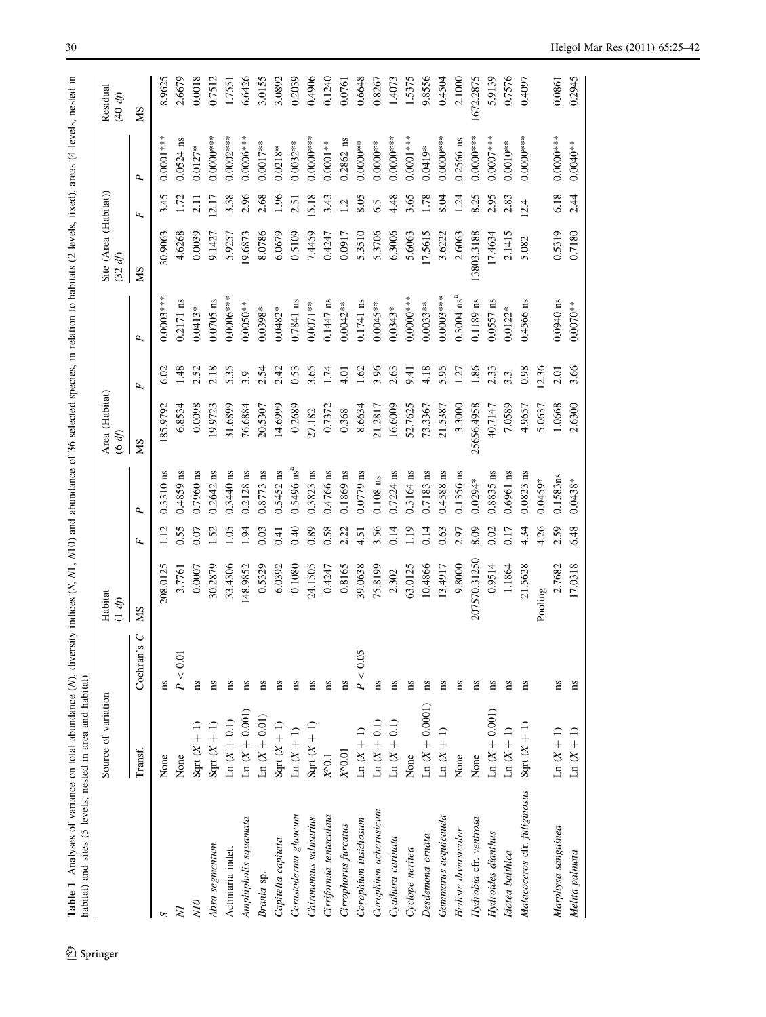<span id="page-5-0"></span>

| :                                                                                            |                                                |
|----------------------------------------------------------------------------------------------|------------------------------------------------|
|                                                                                              |                                                |
|                                                                                              |                                                |
|                                                                                              |                                                |
| i                                                                                            |                                                |
| $\ddot{\phantom{0}}$                                                                         |                                                |
|                                                                                              |                                                |
| -<br>-<br>-                                                                                  |                                                |
| f<br>c                                                                                       |                                                |
| i                                                                                            |                                                |
| $\frac{4}{3}$<br>م<br>م                                                                      |                                                |
|                                                                                              |                                                |
|                                                                                              |                                                |
| ć                                                                                            |                                                |
|                                                                                              |                                                |
|                                                                                              |                                                |
| i<br>$\frac{1}{2}$                                                                           |                                                |
| ֧֧֧֦֧֦֧֧֦֧֦֧֧֦֧֧֦֧֦֧֧֪֧֪֪֧֧֪֪֪֪֪֪֪֪֛֟֓֓֓֓֓֓֓֓֓֓֓֓֓֓֓֓֓֓֓֓֝֬֓֓֝֬֓֓֓֓֓֓֓֓֓֝֓֓֝֬֝֬֓֝֬֝֓֬֝֓֬֝֓֝֬ | $\ddot{\phantom{a}}$<br>i                      |
| i<br>l                                                                                       |                                                |
|                                                                                              |                                                |
| $\sim$<br> <br> <br>                                                                         |                                                |
| i                                                                                            | م<br>ء<br>.                                    |
| i<br>Contae<br>֦֦֧ׅ֧֧֧ׅ֧ׅ֧ׅ֧ׅ֧֚֚֚֚֚֚֚֚֚֚֚֚֚֚֚֚֚֚֚֚֚֚֚֚֚֚֚֡֡֜֡֓֡֡֡֡֡֡֡֡֬֜֓֝֓֝֓֜֜֜֜֝<br>ì      | j<br>ׅׅ֪ׅ֧֚֚֚֚֚֚֚֚֚֚֚֚֚֚֚֚֚֡֡֡֜֓֡֡֜֓֡֡֡֡֓֡֬֝֓֞ |
| ١                                                                                            | i                                              |
| able 1<br>i<br>F                                                                             |                                                |

|                              | Source of variation    |             | Habitat<br>(1 df) |      |                          | Area (Habitat)<br>(6d) |              |                       | Site (Area (Habitat))<br>$(32 \text{ df})$ |                 |              | Residual<br>(40d) |
|------------------------------|------------------------|-------------|-------------------|------|--------------------------|------------------------|--------------|-----------------------|--------------------------------------------|-----------------|--------------|-------------------|
|                              | Transf.                | Cochran's C | SM                | Щ.   | ρ,                       | SM                     | $\mathbf{r}$ | P,                    | SM                                         | Ŀ,              | P,           | SM                |
| $\mathbf{c}$                 | None                   | ns          | 208.0125          | 12   | $0.3310$ ns              | 185.9792               | 6.02         | $0.0003***$           | 30.9063                                    | 3.45            | $0.0001***$  | 8.9625            |
|                              | None                   | $P < 0.01$  | 3.7761            | 0.55 | $0.4859$ ns              | 6.8534                 | $^{1.48}$    | $0.2171$ ns           | 4.6268                                     | 1.72            | $0.0524$ ns  | 2.6679            |
| NIO                          | Sqrt $(X + 1)$         | ns          | 0.0007            | 0.07 | $0.7960$ ns              | 0.0098                 | 2.52         | $0.0413*$             | 0.0039                                     | $\Xi$           | $0.0127*$    | 0.0018            |
| Abra segmentum               | Sqrt $(X + 1)$         | ns          | 30.2879           | 1.52 | $0.2642$ ns              | 19.9723                | 2.18         | 0.0705 ns             | 9.1427                                     | 12.17           | $0.0000$ *** | 0.7512            |
| Actiniaria indet.            | Ln $(X + 0.1)$         | ns          | 33.4306           | 1.05 | $0.3440$ ns              | 31.6899                | 5.35         | $0.0006***$           | 5.9257                                     | 3.38            | $0.0002***$  | 1.7551            |
| Amphipholis squamata         | Ln $(X + 0.001)$       | ns          | 148.9852          | 1.94 | $0.2128$ ns              | 76.6884                | 3.9          | $0.0050**$            | 19.6873                                    | 2.96            | $0.0006***$  | 6.6426            |
| Brania sp.                   | Ln $(X + 0.01)$        | ns          | 0.5329            | 0.03 | $0.8773$ ns              | 20.5307                | 2.54         | 0.0398*               | 8.0786                                     | 2.68            | $0.0017***$  | 3.0155            |
| Capitella capitata           | Sqrt $(X + 1)$         | ns          | 6.0392            | 0.41 | $0.5452$ ns              | 14.6999                | 2.42         | $0.0482*$             | 6.0679                                     | 1.96            | $0.0218*$    | 3.0892            |
| Cerastoderma glaucum         | Ln $(X + 1)$           | ns          | 0.1080            | 0.40 | $0.5496$ ns <sup>a</sup> | 0.2689                 | 0.53         | 0.7841 ns             | 0.5109                                     | 2.51            | $0.0032***$  | 0.2039            |
| Chironomus salinarius        | Sqrt $(X + 1)$         | ns          | 24.1505           | 0.89 | $0.3823$ ns              | 27.182                 | 3.65         | $0.0071**$            | 7.4459                                     | 15.18           | $0.0000$ *** | 0.4906            |
| Cirriformia tentaculata      | $X$ <sup>-0.1</sup>    | ns          | 0.4247            | 0.58 | 0.4766 ns                | 0.7372                 | 1.74         | $0.1447$ ns           | 0.4247                                     | 3.43            | $0.0001**$   | 0.1240            |
| Cirrophorus furcatus         | $X^{\prime\prime}0.01$ | ns          | 0.8165            | 2.22 | $0.1869$ ns              | 0.368                  | 4.01         | $0.0042**$            | 0.0917                                     | $\overline{12}$ | $0.2862$ ns  | 0.0761            |
| Corophium insidiosum         | Ln $(X + 1)$           | P < 0.05    | 39.0638           | 4.51 | $0.0779$ ns              | 8.6634                 | 1.62         | $0.1741$ ns           | 5.3510                                     | 8.05            | $0.0000**$   | 0.6648            |
| Corophium acherusicum        | $Ln(X + 0.1)$          | ns          | 75.8199           | 3.56 | $0.108$ $\mathrm{ns}$    | 21.2817                | 3.96         | $0.0045**$            | 5.3706                                     | 6.5             | $0.0000**$   | 0.8267            |
| Cyathura carinata            | Ln $(X+0.1)$           | ns          | 2.302             | 0.14 | $0.7224$ ns              | 16.6009                | 2.63         | $0.0343*$             | 6.3006                                     | 4.48            | $0.0000$ *** | 1.4073            |
| Cyclope neritea              | None                   | ns          | 63.0125           | 19   | $0.3164$ ns              | 52.7625                | 9.41         | $0.0000$ ***          | 5.6063                                     | 3.65            | $0.0001***$  | 1.5375            |
| Desdemona ornata             | Ln $(X + 0.0001)$      | ns          | 10.4866           | 0.14 | $0.7183$ ns              | 73.3367                | 4.18         | $0.0033**$            | 17.5615                                    | 1.78            | $0.0419*$    | 9.8556            |
| Gammarus aequicauda          | Ln $(X + 1)$           | ns          | 13.4917           | 0.63 | 0.4588 ns                | 21.5387                | 5.95         | $0.0003***$           | 3.6222                                     | 8.04            | $0.0000$ *** | 0.4504            |
| Hediste diversicolor         | None                   | ns          | 9.8000            | 2.97 | $0.1356$ ns              | 3.3000                 | 1.27         | $0.3004 \text{ ns}^4$ | 2.6063                                     | 1.24            | 0.2566 ns    | 2.1000            |
| Hydrobia cfr. ventrosa       | None                   | ns          | 207570.31250      | 8.09 | 0.0294*                  | 25656.4958             | 1.86         | 0.1189 ns             | 13803.3188                                 | 8.25            | $0.0000$ *** | 1672.2875         |
| Hydroides dianthus           | Ln $(X+0.001)$         | ns          | 0.9514            | 0.02 | $0.8835$ ns              | 40.7147                | 2.33         | $0.0557$ ns           | 17.4634                                    | 2.95            | $0.0007***$  | 5.9139            |
| Idotea balthica              | Ln $(X + 1)$           | ns          | 1.1864            | 0.17 | 0.6961 ns                | 7.0589                 | 3.3          | $0.0122*$             | 2.1415                                     | 2.83            | $0.0010**$   | 0.7576            |
| Malacoceros cfr. fuliginosus | Sqrt $(X + 1)$         | ns          | 21.5628           | 4.34 | $0.0823$ ns              | 4.9657                 | 0.98         | 0.4566 ns             | 5.082                                      | 12.4            | $0.0000$ *** | 0.4097            |
|                              |                        |             | Pooling           | 4.26 | $0.0459*$                | 5.0637                 | 12.36        |                       |                                            |                 |              |                   |
| Marphysa sanguinea           | Ln $(X + 1)$           | ns          | 2.7682            | 2.59 | 0.1583ns                 | 1.0668                 | 2.01         | 0.0940 ns             | 0.5319                                     | 6.18            | $0.0000$ *** | 0.0861            |
| Melita palmata               | $\text{Ln}(X + 1)$     | ns          | 17.0318           | 6.48 | $0.0438*$                | 2.6300                 | 3.66         | $0.0070**$            | 0.7180                                     | 2.44            | $0.0040**$   | 0.2945            |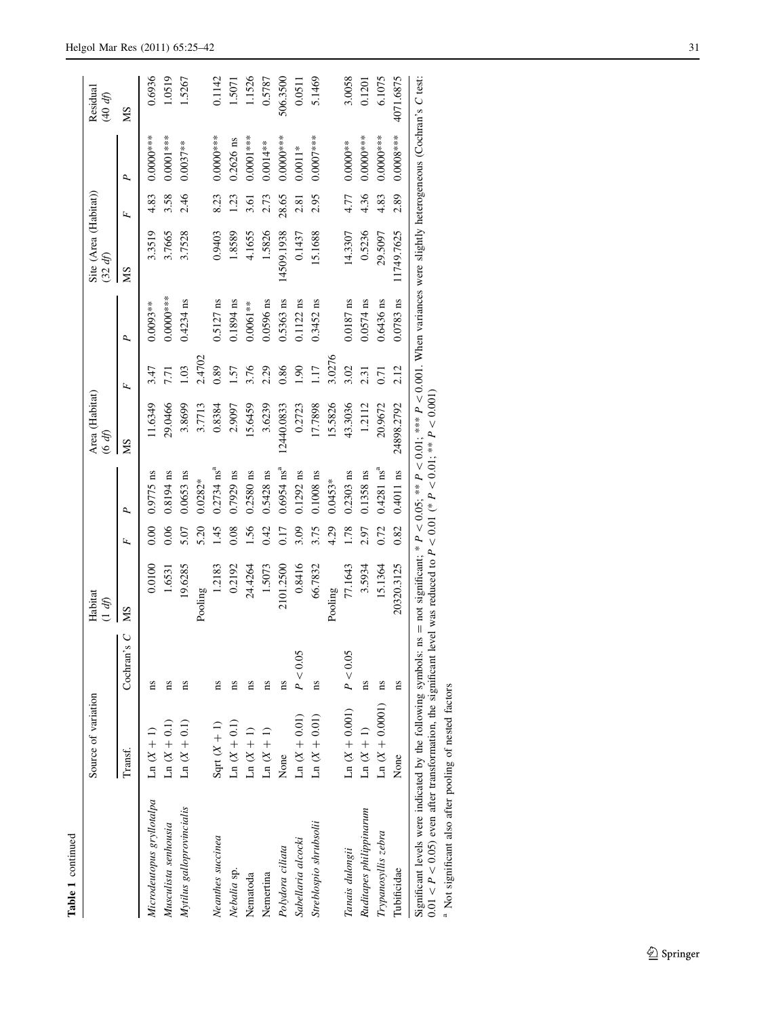|                                                                                                                                                                                                                                                                                                                         | Source of variation  |             | Habitat<br>(1 df) |      |                          | Area (Habitat)<br>(6d) |                 |              | Site (Area (Habitat))<br>$(32 \text{ d}f)$ |       |              | Residual<br>(40d) |
|-------------------------------------------------------------------------------------------------------------------------------------------------------------------------------------------------------------------------------------------------------------------------------------------------------------------------|----------------------|-------------|-------------------|------|--------------------------|------------------------|-----------------|--------------|--------------------------------------------|-------|--------------|-------------------|
|                                                                                                                                                                                                                                                                                                                         | Transf.              | Cochran's C | SM                | Ŀ,   | ρ                        | SM                     | Ŀ,              | D,           | SM                                         | Ŀ,    | D,           | SM                |
| Microdeutopus gryllotalpa                                                                                                                                                                                                                                                                                               | $Ln(X + 1)$          | ns          | 0.0100            | 0.00 | $0.9775$ ns              | 11.6349                | 3.47            | $0.0093**$   | 3.3519                                     | 4.83  | $0.0000$ *** | 0.6936            |
| Musculista senhousia                                                                                                                                                                                                                                                                                                    | $Ln(X + 0.1)$        | ns          | 1.6531            | 0.06 | $0.8194$ ns              | 29.0466                | 7.71            | $0.0000$ *** | 3.7665                                     | 3.58  | $0.0001***$  | 1.0519            |
| Mytilus galloprovincialis                                                                                                                                                                                                                                                                                               | $\text{Ln}(X + 0.1)$ | ns          | 19.6285           | 5.07 | $0.0653$ ns              | 3.8699                 | $\ddot{\Omega}$ | $0.4234$ ns  | 3.7528                                     | 2.46  | $0.0037***$  | 1.5267            |
|                                                                                                                                                                                                                                                                                                                         |                      |             | Pooling           | 5.20 | $0.0282*$                | 3.7713                 | 2.4702          |              |                                            |       |              |                   |
| Neanthes succinea                                                                                                                                                                                                                                                                                                       | Sqrt $(X + 1)$       | 11S         | 1.2183            | 1.45 | $0.2734 \text{ ns}^a$    | 0.8384                 | 0.89            | $0.5127$ ns  | 0.9403                                     | 8.23  | $0.0000$ *** | 0.1142            |
| Nebalia sp.                                                                                                                                                                                                                                                                                                             | $Ln(X + 0.1)$        | ns          | 0.2192            | 0.08 | $0.7929$ ns              | 2.9097                 | 1.57            | 0.1894 ns    | 1.8589                                     | 1.23  | $0.2626$ ns  | 1.5071            |
| Nematoda                                                                                                                                                                                                                                                                                                                | Ln $(X + 1)$         | ns          | 24.4264           | 1.56 | $0.2580$ ns              | 15.6459                | 3.76            | $0.0061**$   | 4.1655                                     | 3.61  | $0.0001***$  | 1.1526            |
| Nemertina                                                                                                                                                                                                                                                                                                               | $\text{Ln}(X + 1)$   | ns          | 1.5073            | 0.42 | $0.5428$ ns              | 3.6239                 | 2.29            | $0.0596$ ns  | 1.5826                                     | 2.73  | $0.0014**$   | 0.5787            |
| Polydora ciliata                                                                                                                                                                                                                                                                                                        | None                 | ns          | 2101.2500         | 0.17 | $0.6954$ ns <sup>a</sup> | 2440.0833              | 0.86            | $0.5363$ ns  | 14509.1938                                 | 28.65 | $0.0000$ *** | 506.3500          |
| Sabellaria alcocki                                                                                                                                                                                                                                                                                                      | Ln $(X + 0.01)$      | P < 0.05    | 0.8416            | 3.09 | $0.1292$ ns              | 0.2723                 | $\overline{06}$ | $0.1122$ ns  | 0.1437                                     | 2.81  | $0.0011*$    | 0.0511            |
| Streblospio shrubsolii                                                                                                                                                                                                                                                                                                  | Ln $(X + 0.01)$      | ns          | 66.7832           | 3.75 | $0.1008$ ns              | 17.7898                | $\overline{11}$ | $0.3452$ ns  | 15.1688                                    | 2.95  | $0.0007***$  | 5.1469            |
|                                                                                                                                                                                                                                                                                                                         |                      |             | Pooling           | 4.29 | $0.0453*$                | 15.5826                | 3.0276          |              |                                            |       |              |                   |
| Tanais dulongii                                                                                                                                                                                                                                                                                                         | Ln $(X+0.001)$       | P < 0.05    | 77.1643           | 1.78 | $0.2303$ ns              | 43.3036                | 3.02            | $0.0187$ ns  | 14.3307                                    | 4.77  | $0.0000**$   | 3.0058            |
| Ruditapes philippinarum                                                                                                                                                                                                                                                                                                 | $Ln(X + 1)$          | ns          | 3.5934            | 2.97 | $0.1358$ ns              | 1.2112                 | 2.31            | $0.0574$ ns  | 0.5236                                     | 4.36  | $0.0000$ *** | 0.1201            |
| Trypanosyllis zebra                                                                                                                                                                                                                                                                                                     | $Ln(X + 0.0001)$     | ns          | 15.1364           | 0.72 | $0.4281 \text{ ns}^a$    | 20.9672                | 0.71            | $0.6436$ ns  | 29.5097                                    | 4.83  | $0.0000$ *** | 6.1075            |
| Tubificidae                                                                                                                                                                                                                                                                                                             | None                 | ns          | 20320.3125        | 0.82 | $0.4011$ ns              | 24898.2792             | 2.12            | $0.0783$ ns  | 11749.7625                                 | 2.89  | $0.0008***$  | 4071.6875         |
| Significant levels were indicated by the following symbols: ns = not significant; * $P < 0.05$ ; ** $P < 0.01$ ; *** $P < 0.001$ . When variances were slightly heterogeneous (Cochran's C test:<br>0.01 < P < 0.05) even after transformation, the significant level was reduced to P < 0.01 (* P < 0.01; ** P < 0.001 |                      |             |                   |      |                          |                        |                 |              |                                            |       |              |                   |

 $0.01 < P < 0.05$ ) even after transformation, the significant lev<br><sup>a</sup> Not significant also after pooling of nested factors Not significant also after pooling of nested factors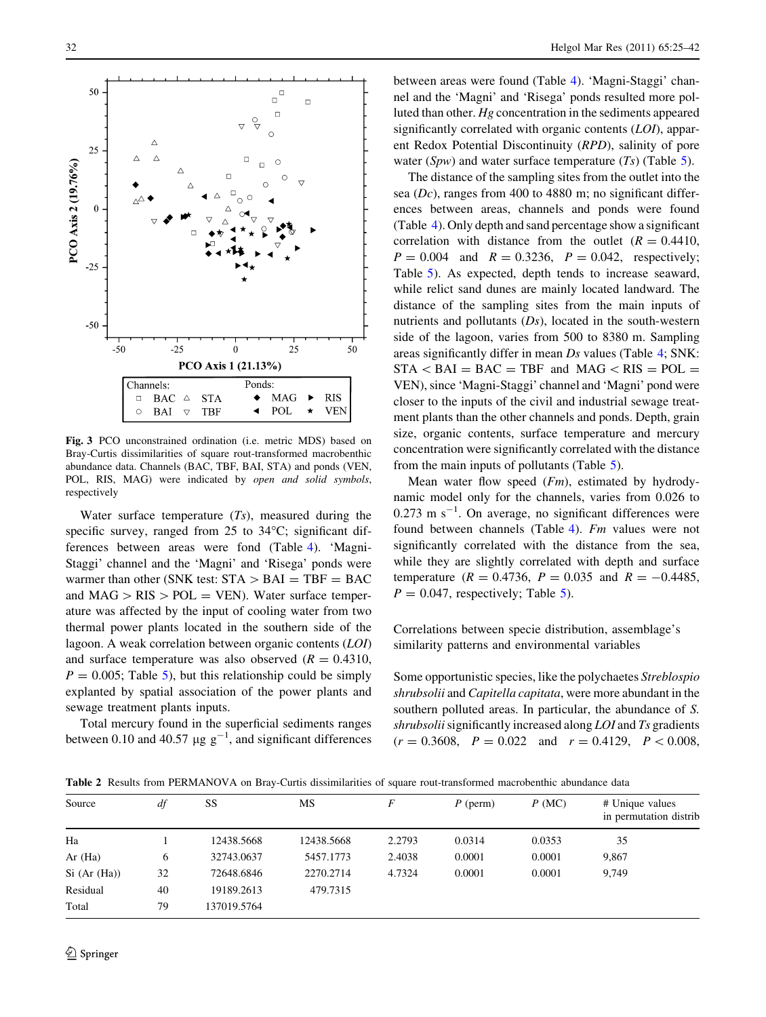<span id="page-7-0"></span>

Fig. 3 PCO unconstrained ordination (i.e. metric MDS) based on Bray-Curtis dissimilarities of square rout-transformed macrobenthic abundance data. Channels (BAC, TBF, BAI, STA) and ponds (VEN, POL, RIS, MAG) were indicated by open and solid symbols, respectively

Water surface temperature  $(Ts)$ , measured during the specific survey, ranged from  $25$  to  $34^{\circ}$ C; significant differences between areas were fond (Table [4\)](#page-9-0). 'Magni-Staggi' channel and the 'Magni' and 'Risega' ponds were warmer than other (SNK test:  $STA > BAI = TBF = BAC$ and  $MAG > RIS > POL = VEN$ ). Water surface temperature was affected by the input of cooling water from two thermal power plants located in the southern side of the lagoon. A weak correlation between organic contents (LOI) and surface temperature was also observed  $(R = 0.4310,$  $P = 0.005$  $P = 0.005$ ; Table 5), but this relationship could be simply explanted by spatial association of the power plants and sewage treatment plants inputs.

Total mercury found in the superficial sediments ranges between 0.10 and 40.57  $\mu$ g g<sup>-1</sup>, and significant differences

between areas were found (Table [4\)](#page-9-0). 'Magni-Staggi' channel and the 'Magni' and 'Risega' ponds resulted more polluted than other. Hg concentration in the sediments appeared significantly correlated with organic contents (*LOI*), apparent Redox Potential Discontinuity (RPD), salinity of pore water (Spw) and water surface temperature  $(T_s)$  (Table [5\)](#page-9-0).

The distance of the sampling sites from the outlet into the sea (Dc), ranges from 400 to 4880 m; no significant differences between areas, channels and ponds were found (Table [4\)](#page-9-0). Only depth and sand percentage show a significant correlation with distance from the outlet  $(R = 0.4410,$  $P = 0.004$  and  $R = 0.3236$ ,  $P = 0.042$ , respectively; Table [5](#page-9-0)). As expected, depth tends to increase seaward, while relict sand dunes are mainly located landward. The distance of the sampling sites from the main inputs of nutrients and pollutants  $(Ds)$ , located in the south-western side of the lagoon, varies from 500 to 8380 m. Sampling areas significantly differ in mean Ds values (Table [4](#page-9-0); SNK:  $STA < BAI$  =  $BAC$  = TBF and  $MAG < RIS$  = POL = VEN), since 'Magni-Staggi' channel and 'Magni' pond were closer to the inputs of the civil and industrial sewage treatment plants than the other channels and ponds. Depth, grain size, organic contents, surface temperature and mercury concentration were significantly correlated with the distance from the main inputs of pollutants (Table [5\)](#page-9-0).

Mean water flow speed  $(Fm)$ , estimated by hydrodynamic model only for the channels, varies from 0.026 to  $0.273$  m s<sup>-1</sup>. On average, no significant differences were found between channels (Table [4](#page-9-0)). Fm values were not significantly correlated with the distance from the sea, while they are slightly correlated with depth and surface temperature ( $R = 0.4736$ ,  $P = 0.035$  and  $R = -0.4485$ ,  $P = 0.047$ , respectively; Table [5\)](#page-9-0).

Correlations between specie distribution, assemblage's similarity patterns and environmental variables

Some opportunistic species, like the polychaetes Streblospio shrubsolii and Capitella capitata, were more abundant in the southern polluted areas. In particular, the abundance of S. shrubsolii significantly increased along  $LOI$  and Ts gradients  $(r = 0.3608, P = 0.022$  and  $r = 0.4129, P < 0.008$ ,

| Source       | df | SS          | MS         |        | $P$ (perm) | $P$ (MC) | # Unique values<br>in permutation distrib |
|--------------|----|-------------|------------|--------|------------|----------|-------------------------------------------|
| Ha           |    | 12438.5668  | 12438.5668 | 2.2793 | 0.0314     | 0.0353   | 35                                        |
| Ar (Ha)      | b  | 32743.0637  | 5457.1773  | 2.4038 | 0.0001     | 0.0001   | 9,867                                     |
| Si (Ar (Ha)) | 32 | 72648.6846  | 2270.2714  | 4.7324 | 0.0001     | 0.0001   | 9.749                                     |
| Residual     | 40 | 19189.2613  | 479.7315   |        |            |          |                                           |
| Total        | 79 | 137019.5764 |            |        |            |          |                                           |
|              |    |             |            |        |            |          |                                           |

Table 2 Results from PERMANOVA on Bray-Curtis dissimilarities of square rout-transformed macrobenthic abundance data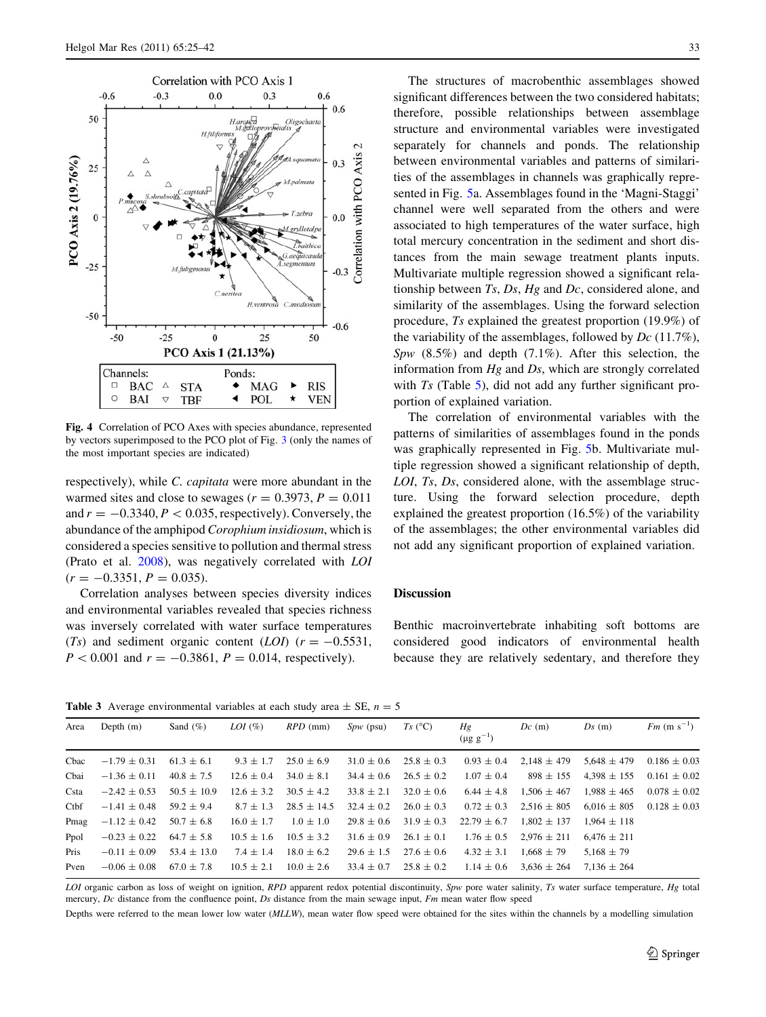<span id="page-8-0"></span>

Fig. 4 Correlation of PCO Axes with species abundance, represented by vectors superimposed to the PCO plot of Fig. [3](#page-7-0) (only the names of the most important species are indicated)

respectively), while C. capitata were more abundant in the warmed sites and close to sewages ( $r = 0.3973$ ,  $P = 0.011$ and  $r = -0.3340$ ,  $P \lt 0.035$ , respectively). Conversely, the abundance of the amphipod Corophium insidiosum, which is considered a species sensitive to pollution and thermal stress (Prato et al. [2008](#page-17-0)), was negatively correlated with LOI  $(r = -0.3351, P = 0.035).$ 

Correlation analyses between species diversity indices and environmental variables revealed that species richness was inversely correlated with water surface temperatures (Ts) and sediment organic content (LOI) ( $r = -0.5531$ ,  $P < 0.001$  and  $r = -0.3861$ ,  $P = 0.014$ , respectively).

The structures of macrobenthic assemblages showed significant differences between the two considered habitats; therefore, possible relationships between assemblage structure and environmental variables were investigated separately for channels and ponds. The relationship between environmental variables and patterns of similarities of the assemblages in channels was graphically represented in Fig. [5](#page-10-0)a. Assemblages found in the 'Magni-Staggi' channel were well separated from the others and were associated to high temperatures of the water surface, high total mercury concentration in the sediment and short distances from the main sewage treatment plants inputs. Multivariate multiple regression showed a significant relationship between  $Ts$ ,  $Ds$ ,  $Hg$  and  $Dc$ , considered alone, and similarity of the assemblages. Using the forward selection procedure, Ts explained the greatest proportion (19.9%) of the variability of the assemblages, followed by  $Dc$  (11.7%),  $Spw$  (8.5%) and depth (7.1%). After this selection, the information from  $Hg$  and  $Ds$ , which are strongly correlated with  $Ts$  (Table [5\)](#page-9-0), did not add any further significant proportion of explained variation.

The correlation of environmental variables with the patterns of similarities of assemblages found in the ponds was graphically represented in Fig. [5](#page-10-0)b. Multivariate multiple regression showed a significant relationship of depth, LOI, Ts, Ds, considered alone, with the assemblage structure. Using the forward selection procedure, depth explained the greatest proportion (16.5%) of the variability of the assemblages; the other environmental variables did not add any significant proportion of explained variation.

# Discussion

Benthic macroinvertebrate inhabiting soft bottoms are considered good indicators of environmental health because they are relatively sedentary, and therefore they

**Table 3** Average environmental variables at each study area  $\pm$  SE,  $n = 5$ 

| Area | Depth $(m)$      | Sand $(\% )$    | $LOI$ (%)      | $RPD$ (mm)      | $Spw$ (psu)    | $Ts$ (°C)      | Hg<br>$(\mu g g^{-1})$ | $Dc$ (m)        | Ds(m)           | $Fm$ (m s <sup>-1</sup> ) |
|------|------------------|-----------------|----------------|-----------------|----------------|----------------|------------------------|-----------------|-----------------|---------------------------|
| Cbac | $-1.79 \pm 0.31$ | $61.3 \pm 6.1$  | $9.3 \pm 1.7$  | $25.0 + 6.9$    | $31.0 \pm 0.6$ | $25.8 \pm 0.3$ | $0.93 \pm 0.4$         | $2.148 \pm 479$ | $5.648 \pm 479$ | $0.186 \pm 0.03$          |
| Cbai | $-1.36 \pm 0.11$ | $40.8 \pm 7.5$  | $12.6 \pm 0.4$ | $34.0 \pm 8.1$  | $34.4 \pm 0.6$ | $26.5 \pm 0.2$ | $1.07 \pm 0.4$         | $898 \pm 155$   | $4.398 \pm 155$ | $0.161 \pm 0.02$          |
| Csta | $-2.42 \pm 0.53$ | $50.5 \pm 10.9$ | $12.6 \pm 3.2$ | $30.5 \pm 4.2$  | $33.8 \pm 2.1$ | $32.0 \pm 0.6$ | $6.44 \pm 4.8$         | $1.506 \pm 467$ | $1.988 \pm 465$ | $0.078 \pm 0.02$          |
| Ctbf | $-1.41 \pm 0.48$ | $59.2 \pm 9.4$  | $8.7 \pm 1.3$  | $28.5 \pm 14.5$ | $32.4 \pm 0.2$ | $26.0 \pm 0.3$ | $0.72 \pm 0.3$         | $2.516 \pm 805$ | $6.016 \pm 805$ | $0.128 \pm 0.03$          |
| Pmag | $-1.12 \pm 0.42$ | $50.7 \pm 6.8$  | $16.0 \pm 1.7$ | $1.0 \pm 1.0$   | $29.8 \pm 0.6$ | $31.9 \pm 0.3$ | $22.79 \pm 6.7$        | $1.802 \pm 137$ | $1.964 \pm 118$ |                           |
| Ppol | $-0.23 \pm 0.22$ | $64.7 \pm 5.8$  | $10.5 \pm 1.6$ | $10.5 \pm 3.2$  | $31.6 \pm 0.9$ | $26.1 \pm 0.1$ | $1.76 \pm 0.5$         | $2.976 \pm 211$ | $6.476 \pm 211$ |                           |
| Pris | $-0.11 + 0.09$   | $53.4 + 13.0$   | $7.4 + 1.4$    | $18.0 + 6.2$    | $29.6 \pm 1.5$ | $27.6 + 0.6$   | $4.32 \pm 3.1$         | $1.668 \pm 79$  | $5.168 \pm 79$  |                           |
| Pven | $-0.06 \pm 0.08$ | $67.0 \pm 7.8$  | $10.5 \pm 2.1$ | $10.0 \pm 2.6$  | $33.4 \pm 0.7$ | $25.8 \pm 0.2$ | $1.14 \pm 0.6$         | $3.636 \pm 264$ | $7.136 \pm 264$ |                           |

LOI organic carbon as loss of weight on ignition, RPD apparent redox potential discontinuity, Spw pore water salinity, Ts water surface temperature, Hg total mercury, Dc distance from the confluence point, Ds distance from the main sewage input,  $Fm$  mean water flow speed

Depths were referred to the mean lower low water (MLLW), mean water flow speed were obtained for the sites within the channels by a modelling simulation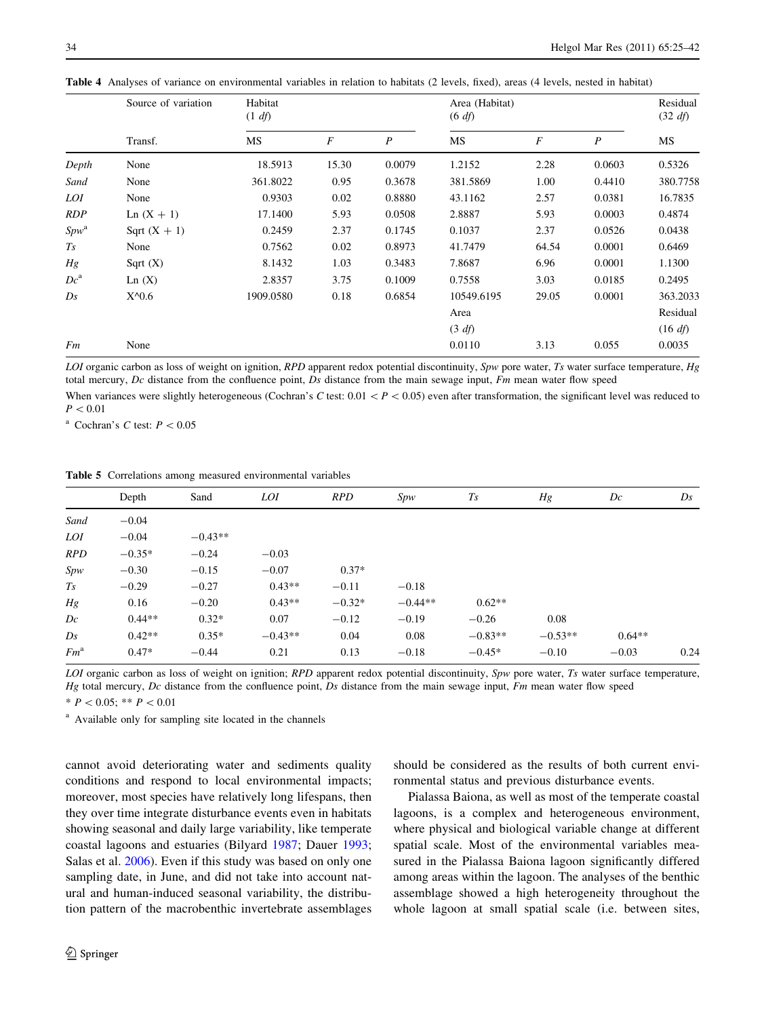|                | Source of variation | Habitat<br>$(1 \text{ df})$ |                  |                  | Area (Habitat)<br>$(6 \text{ df})$ |                  |                  | Residual<br>$(32 \text{ df})$ |
|----------------|---------------------|-----------------------------|------------------|------------------|------------------------------------|------------------|------------------|-------------------------------|
|                | Transf.             | MS                          | $\boldsymbol{F}$ | $\boldsymbol{P}$ | <b>MS</b>                          | $\boldsymbol{F}$ | $\boldsymbol{P}$ | MS                            |
| Depth          | None                | 18.5913                     | 15.30            | 0.0079           | 1.2152                             | 2.28             | 0.0603           | 0.5326                        |
| Sand           | None                | 361.8022                    | 0.95             | 0.3678           | 381.5869                           | 1.00             | 0.4410           | 380.7758                      |
| LOI            | None                | 0.9303                      | 0.02             | 0.8880           | 43.1162                            | 2.57             | 0.0381           | 16.7835                       |
| <b>RDP</b>     | $Ln(X + 1)$         | 17.1400                     | 5.93             | 0.0508           | 2.8887                             | 5.93             | 0.0003           | 0.4874                        |
| $Spw^a$        | Sqrt $(X + 1)$      | 0.2459                      | 2.37             | 0.1745           | 0.1037                             | 2.37             | 0.0526           | 0.0438                        |
| $T_S$          | None                | 0.7562                      | 0.02             | 0.8973           | 41.7479                            | 64.54            | 0.0001           | 0.6469                        |
| Hg             | Sqrt $(X)$          | 8.1432                      | 1.03             | 0.3483           | 7.8687                             | 6.96             | 0.0001           | 1.1300                        |
| $Dc^a$         | Ln(X)               | 2.8357                      | 3.75             | 0.1009           | 0.7558                             | 3.03             | 0.0185           | 0.2495                        |
| D <sub>S</sub> | $X^0.6$             | 1909.0580                   | 0.18             | 0.6854           | 10549.6195                         | 29.05            | 0.0001           | 363.2033                      |
|                |                     |                             |                  |                  | Area                               |                  |                  | Residual                      |
|                |                     |                             |                  |                  | (3 df)                             |                  |                  | $(16 \text{ df})$             |
| Fm             | None                |                             |                  |                  | 0.0110                             | 3.13             | 0.055            | 0.0035                        |

<span id="page-9-0"></span>Table 4 Analyses of variance on environmental variables in relation to habitats (2 levels, fixed), areas (4 levels, nested in habitat)

LOI organic carbon as loss of weight on ignition, RPD apparent redox potential discontinuity,  $S_{DW}$  pore water, Ts water surface temperature, Hg total mercury, Dc distance from the confluence point, Ds distance from the main sewage input,  $Fm$  mean water flow speed

When variances were slightly heterogeneous (Cochran's C test:  $0.01 < P < 0.05$ ) even after transformation, the significant level was reduced to  $P < 0.01$ 

<sup>a</sup> Cochran's C test:  $P < 0.05$ 

Table 5 Correlations among measured environmental variables

|                | Depth    | Sand      | <b>LOI</b> | <b>RPD</b> | Spw       | $T_{S}$   | Hg        | Dc       | Ds   |
|----------------|----------|-----------|------------|------------|-----------|-----------|-----------|----------|------|
| Sand           | $-0.04$  |           |            |            |           |           |           |          |      |
| LOI            | $-0.04$  | $-0.43**$ |            |            |           |           |           |          |      |
| <b>RPD</b>     | $-0.35*$ | $-0.24$   | $-0.03$    |            |           |           |           |          |      |
| Spw            | $-0.30$  | $-0.15$   | $-0.07$    | $0.37*$    |           |           |           |          |      |
| $T_{S}$        | $-0.29$  | $-0.27$   | $0.43**$   | $-0.11$    | $-0.18$   |           |           |          |      |
| Hg             | 0.16     | $-0.20$   | $0.43**$   | $-0.32*$   | $-0.44**$ | $0.62**$  |           |          |      |
| Dc             | $0.44**$ | $0.32*$   | 0.07       | $-0.12$    | $-0.19$   | $-0.26$   | 0.08      |          |      |
| D <sub>S</sub> | $0.42**$ | $0.35*$   | $-0.43**$  | 0.04       | 0.08      | $-0.83**$ | $-0.53**$ | $0.64**$ |      |
| $Fm^a$         | $0.47*$  | $-0.44$   | 0.21       | 0.13       | $-0.18$   | $-0.45*$  | $-0.10$   | $-0.03$  | 0.24 |

LOI organic carbon as loss of weight on ignition; RPD apparent redox potential discontinuity, Spw pore water, Ts water surface temperature,  $Hg$  total mercury, Dc distance from the confluence point, Ds distance from the main sewage input, Fm mean water flow speed

 $* P < 0.05; ** P < 0.01$ 

<sup>a</sup> Available only for sampling site located in the channels

cannot avoid deteriorating water and sediments quality conditions and respond to local environmental impacts; moreover, most species have relatively long lifespans, then they over time integrate disturbance events even in habitats showing seasonal and daily large variability, like temperate coastal lagoons and estuaries (Bilyard [1987;](#page-16-0) Dauer [1993](#page-16-0); Salas et al. [2006\)](#page-17-0). Even if this study was based on only one sampling date, in June, and did not take into account natural and human-induced seasonal variability, the distribution pattern of the macrobenthic invertebrate assemblages should be considered as the results of both current environmental status and previous disturbance events.

Pialassa Baiona, as well as most of the temperate coastal lagoons, is a complex and heterogeneous environment, where physical and biological variable change at different spatial scale. Most of the environmental variables measured in the Pialassa Baiona lagoon significantly differed among areas within the lagoon. The analyses of the benthic assemblage showed a high heterogeneity throughout the whole lagoon at small spatial scale (i.e. between sites,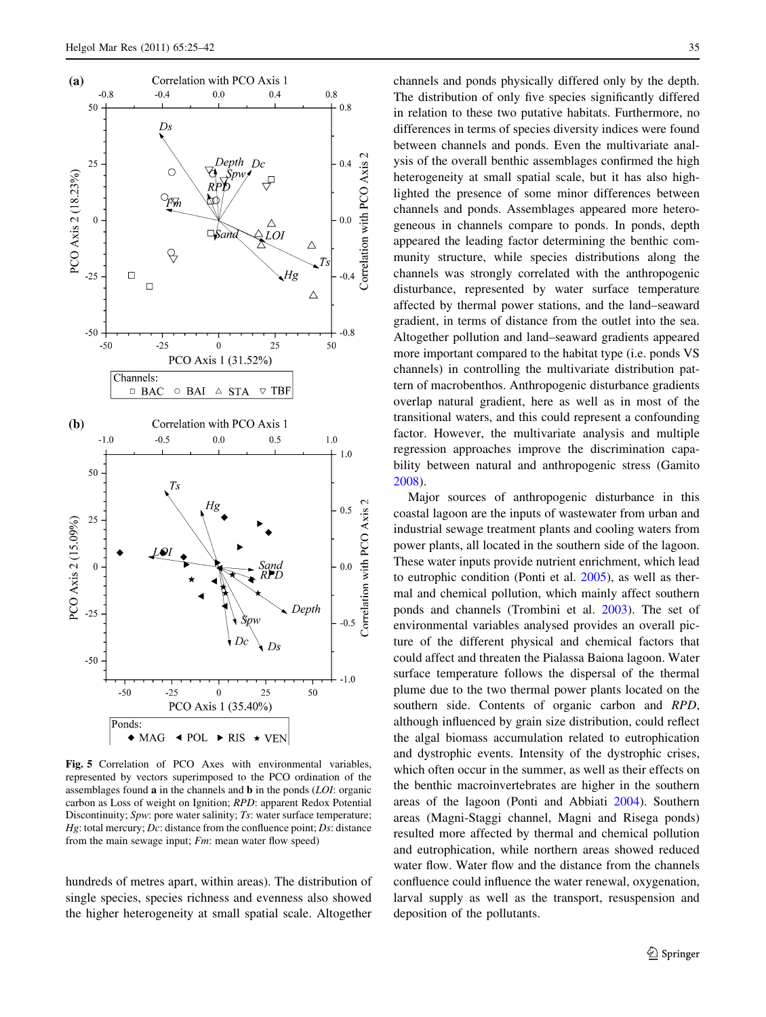

<span id="page-10-0"></span>

Fig. 5 Correlation of PCO Axes with environmental variables, represented by vectors superimposed to the PCO ordination of the assemblages found a in the channels and b in the ponds (LOI: organic carbon as Loss of weight on Ignition; RPD: apparent Redox Potential Discontinuity; Spw: pore water salinity; Ts: water surface temperature; Hg: total mercury; Dc: distance from the confluence point; Ds: distance from the main sewage input; Fm: mean water flow speed)

hundreds of metres apart, within areas). The distribution of single species, species richness and evenness also showed the higher heterogeneity at small spatial scale. Altogether channels and ponds physically differed only by the depth. The distribution of only five species significantly differed in relation to these two putative habitats. Furthermore, no differences in terms of species diversity indices were found between channels and ponds. Even the multivariate analysis of the overall benthic assemblages confirmed the high heterogeneity at small spatial scale, but it has also highlighted the presence of some minor differences between channels and ponds. Assemblages appeared more heterogeneous in channels compare to ponds. In ponds, depth appeared the leading factor determining the benthic community structure, while species distributions along the channels was strongly correlated with the anthropogenic disturbance, represented by water surface temperature affected by thermal power stations, and the land–seaward gradient, in terms of distance from the outlet into the sea. Altogether pollution and land–seaward gradients appeared more important compared to the habitat type (i.e. ponds VS channels) in controlling the multivariate distribution pattern of macrobenthos. Anthropogenic disturbance gradients overlap natural gradient, here as well as in most of the transitional waters, and this could represent a confounding factor. However, the multivariate analysis and multiple regression approaches improve the discrimination capability between natural and anthropogenic stress (Gamito [2008](#page-16-0)).

Major sources of anthropogenic disturbance in this coastal lagoon are the inputs of wastewater from urban and industrial sewage treatment plants and cooling waters from power plants, all located in the southern side of the lagoon. These water inputs provide nutrient enrichment, which lead to eutrophic condition (Ponti et al. [2005\)](#page-17-0), as well as thermal and chemical pollution, which mainly affect southern ponds and channels (Trombini et al. [2003](#page-17-0)). The set of environmental variables analysed provides an overall picture of the different physical and chemical factors that could affect and threaten the Pialassa Baiona lagoon. Water surface temperature follows the dispersal of the thermal plume due to the two thermal power plants located on the southern side. Contents of organic carbon and RPD, although influenced by grain size distribution, could reflect the algal biomass accumulation related to eutrophication and dystrophic events. Intensity of the dystrophic crises, which often occur in the summer, as well as their effects on the benthic macroinvertebrates are higher in the southern areas of the lagoon (Ponti and Abbiati [2004](#page-17-0)). Southern areas (Magni-Staggi channel, Magni and Risega ponds) resulted more affected by thermal and chemical pollution and eutrophication, while northern areas showed reduced water flow. Water flow and the distance from the channels confluence could influence the water renewal, oxygenation, larval supply as well as the transport, resuspension and deposition of the pollutants.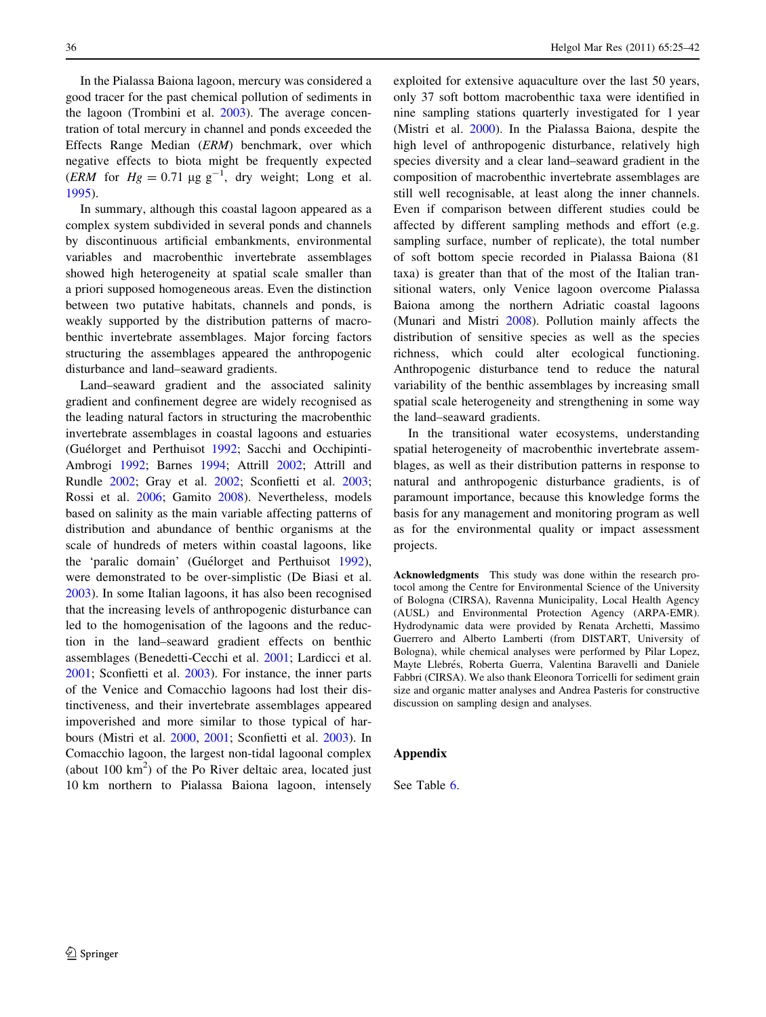In the Pialassa Baiona lagoon, mercury was considered a good tracer for the past chemical pollution of sediments in the lagoon (Trombini et al. [2003](#page-17-0)). The average concentration of total mercury in channel and ponds exceeded the Effects Range Median (ERM) benchmark, over which negative effects to biota might be frequently expected (*ERM* for  $Hg = 0.71 \mu g g^{-1}$ , dry weight; Long et al. [1995\)](#page-16-0).

In summary, although this coastal lagoon appeared as a complex system subdivided in several ponds and channels by discontinuous artificial embankments, environmental variables and macrobenthic invertebrate assemblages showed high heterogeneity at spatial scale smaller than a priori supposed homogeneous areas. Even the distinction between two putative habitats, channels and ponds, is weakly supported by the distribution patterns of macrobenthic invertebrate assemblages. Major forcing factors structuring the assemblages appeared the anthropogenic disturbance and land–seaward gradients.

Land–seaward gradient and the associated salinity gradient and confinement degree are widely recognised as the leading natural factors in structuring the macrobenthic invertebrate assemblages in coastal lagoons and estuaries (Guélorget and Perthuisot [1992](#page-16-0); Sacchi and Occhipinti-Ambrogi [1992](#page-17-0); Barnes [1994;](#page-16-0) Attrill [2002](#page-16-0); Attrill and Rundle [2002](#page-16-0); Gray et al. [2002;](#page-16-0) Sconfietti et al. [2003](#page-17-0); Rossi et al. [2006](#page-17-0); Gamito [2008\)](#page-16-0). Nevertheless, models based on salinity as the main variable affecting patterns of distribution and abundance of benthic organisms at the scale of hundreds of meters within coastal lagoons, like the 'paralic domain' (Guélorget and Perthuisot [1992](#page-16-0)), were demonstrated to be over-simplistic (De Biasi et al. [2003\)](#page-16-0). In some Italian lagoons, it has also been recognised that the increasing levels of anthropogenic disturbance can led to the homogenisation of the lagoons and the reduction in the land–seaward gradient effects on benthic assemblages (Benedetti-Cecchi et al. [2001](#page-16-0); Lardicci et al. [2001;](#page-16-0) Sconfietti et al. [2003\)](#page-17-0). For instance, the inner parts of the Venice and Comacchio lagoons had lost their distinctiveness, and their invertebrate assemblages appeared impoverished and more similar to those typical of harbours (Mistri et al. [2000,](#page-16-0) [2001;](#page-16-0) Sconfietti et al. [2003](#page-17-0)). In Comacchio lagoon, the largest non-tidal lagoonal complex (about  $100 \text{ km}^2$ ) of the Po River deltaic area, located just 10 km northern to Pialassa Baiona lagoon, intensely exploited for extensive aquaculture over the last 50 years, only 37 soft bottom macrobenthic taxa were identified in nine sampling stations quarterly investigated for 1 year (Mistri et al. [2000](#page-16-0)). In the Pialassa Baiona, despite the high level of anthropogenic disturbance, relatively high species diversity and a clear land–seaward gradient in the composition of macrobenthic invertebrate assemblages are still well recognisable, at least along the inner channels. Even if comparison between different studies could be affected by different sampling methods and effort (e.g. sampling surface, number of replicate), the total number of soft bottom specie recorded in Pialassa Baiona (81 taxa) is greater than that of the most of the Italian transitional waters, only Venice lagoon overcome Pialassa Baiona among the northern Adriatic coastal lagoons (Munari and Mistri [2008\)](#page-17-0). Pollution mainly affects the distribution of sensitive species as well as the species richness, which could alter ecological functioning. Anthropogenic disturbance tend to reduce the natural variability of the benthic assemblages by increasing small spatial scale heterogeneity and strengthening in some way the land–seaward gradients.

In the transitional water ecosystems, understanding spatial heterogeneity of macrobenthic invertebrate assemblages, as well as their distribution patterns in response to natural and anthropogenic disturbance gradients, is of paramount importance, because this knowledge forms the basis for any management and monitoring program as well as for the environmental quality or impact assessment projects.

Acknowledgments This study was done within the research protocol among the Centre for Environmental Science of the University of Bologna (CIRSA), Ravenna Municipality, Local Health Agency (AUSL) and Environmental Protection Agency (ARPA-EMR). Hydrodynamic data were provided by Renata Archetti, Massimo Guerrero and Alberto Lamberti (from DISTART, University of Bologna), while chemical analyses were performed by Pilar Lopez, Mayte Llebrés, Roberta Guerra, Valentina Baravelli and Daniele Fabbri (CIRSA). We also thank Eleonora Torricelli for sediment grain size and organic matter analyses and Andrea Pasteris for constructive discussion on sampling design and analyses.

## Appendix

See Table [6](#page-12-0).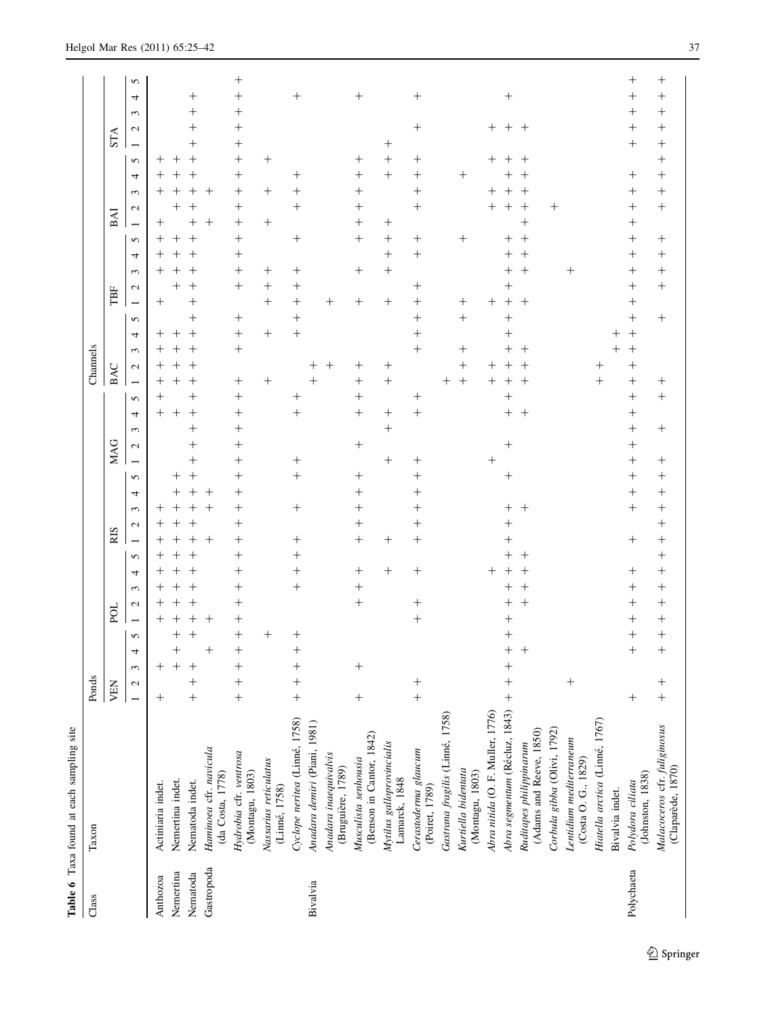Table 6 Taxa found at each sampling site

Table 6 Taxa found at each sampling site

<span id="page-12-0"></span>

| Class      | Taxon                                              | Ponds                                      |                          |                    |                                 |                    |                                          |                                           |                    |                    |                     | Channels       |                     |                    |                           |                    |                              |                     |                                          |                |                    |                             |                                 |                            |  |
|------------|----------------------------------------------------|--------------------------------------------|--------------------------|--------------------|---------------------------------|--------------------|------------------------------------------|-------------------------------------------|--------------------|--------------------|---------------------|----------------|---------------------|--------------------|---------------------------|--------------------|------------------------------|---------------------|------------------------------------------|----------------|--------------------|-----------------------------|---------------------------------|----------------------------|--|
|            |                                                    | VEN                                        |                          | S                  |                                 | RIS                |                                          |                                           | MAG                |                    |                     | BAC            |                     |                    | TBF                       |                    |                              | БAI                 |                                          |                |                    | <b>STA</b>                  |                                 |                            |  |
|            |                                                    | 4<br>3<br>$\mathfrak{g}$<br>$\overline{ }$ | 5                        | 3<br>2             | 5<br>4                          | $\mathcal{L}$      | 4<br>$\infty$                            | $\overline{ }$<br>5                       | 3<br>2             | 4                  | $\overline{ }$<br>5 | $\mathcal{L}$  | 4<br>3              | 5                  | 2                         | 3                  | 5<br>4                       | $\overline{ }$      | 3<br>$\mathcal{L}$                       | 4              | 5                  | $\mathcal{L}$               | 3                               | 5<br>4                     |  |
| Anthozoa   | Actiniaria indet.                                  | $^+$<br>$^+$                               |                          |                    |                                 |                    |                                          |                                           |                    | $^+$               | $^+$<br>$^+$        |                | $^+$                |                    | $^+$                      |                    | $^+$<br>$\, + \,$            | $^+$                |                                          |                | $^+$               |                             |                                 |                            |  |
| Nemertina  | Nemertina indet.                                   | $^+$<br>$^{+}$                             |                          |                    |                                 |                    |                                          |                                           |                    | $^+$               |                     |                |                     |                    |                           |                    |                              |                     |                                          |                |                    |                             |                                 |                            |  |
| Nematoda   | Nematoda indet.                                    | ┿<br>$^{+}$<br>$^{+}$                      |                          |                    |                                 |                    |                                          |                                           | $^{+}$             | $\hspace{0.1mm} +$ | ┿                   |                |                     |                    |                           |                    |                              |                     |                                          |                |                    |                             | ┿                               | $^+$                       |  |
| Gastropoda | Haminoea cfr. navicula<br>(da Costa, 1778)         | $^+$                                       |                          |                    |                                 |                    |                                          |                                           |                    |                    |                     |                |                     |                    |                           |                    |                              | $^{+}$              |                                          |                |                    |                             |                                 |                            |  |
|            | Hydrobia cfr. ventrosa<br>(Montagu, 1803)          | $^{+}$<br>$\, + \,$<br>$\, + \,$<br>$^{+}$ |                          |                    |                                 |                    |                                          |                                           |                    |                    | $^+$<br>┿           |                | $\, +$<br>$^+$      | $\hspace{0.1mm} +$ | $^{+}$                    | $\hspace{0.1mm} +$ | $^{+}$<br>$\hspace{0.1mm} +$ | $\hspace{.011cm} +$ | $\hspace{0.1mm} +$<br>$\hspace{0.1mm} +$ | $\overline{+}$ |                    |                             |                                 | $^+$                       |  |
|            | Nassarius reticulatus<br>(Linné, 1758)             |                                            | $\, + \,$                |                    |                                 |                    |                                          |                                           |                    |                    | $\hspace{0.1mm} +$  |                | $^{+}$              |                    | $^{+}$<br>$^{+}$          | $^+$               |                              | $^+$                | $\hspace{0.1mm} +$                       |                | $\hspace{0.1mm} +$ |                             |                                 |                            |  |
|            | Cyclope neritea (Linné, 1758)                      | $^{+}$<br>$+$ $+$ $+$                      | $\, + \,$                | $^{+}$             | $\hspace{0.1mm} +$<br>$^+$      | $\hspace{0.1mm} +$ | $^{+}$                                   | $^{+}$<br>$^{+}$                          |                    | $^+$               | $^+$                |                | $^{+}$              | $^{+}$             | $\,+\,$<br>$\overline{+}$ | $^+$               | $^{+}$                       |                     | $\hspace{0.1mm} +$<br>$\hspace{0.1mm} +$ | $^+$           |                    |                             |                                 | $^+$                       |  |
| Bivalvia   | Anadara demiri (Piani, 1981)                       |                                            |                          |                    |                                 |                    |                                          |                                           |                    |                    | $^+$                | ┿              |                     |                    |                           |                    |                              |                     |                                          |                |                    |                             |                                 |                            |  |
|            | Anadara inaequivalvis<br>(Bruguière, 1789)         |                                            |                          |                    |                                 |                    |                                          |                                           |                    |                    |                     |                |                     |                    | $^+$                      |                    |                              |                     |                                          |                |                    |                             |                                 |                            |  |
|            | (Benson in Cantor, 1842)<br>Musculista senhousia   | $^{+}$<br>$^{+}$                           |                          | $\, +$<br>$^{+}$   | $^+$                            | $^+$<br>$^{+}$     |                                          | $^{+}$                                    | $^{+}$             | $^+$               | $^+$<br>$^{+}$      | $^+$           |                     |                    | $\hspace{0.1mm} +$        | $^+$               | $^{+}$                       | $^+$                | $^+$                                     | $^{+}$         | $^+$               |                             |                                 | ┿                          |  |
|            | Mytilus galloprovincialis<br>Lamarck, 1848         |                                            |                          |                    | $^+$                            |                    |                                          | $^{+}$                                    | $^{+}$             | $^+$               | $^+$                | $^+$           |                     |                    | $\,+\,$                   | $^{+}$             | $^{+}$<br>$\,+\,$            | $^+$                |                                          | $^{+}$         | $^{+}$             | $^+$                        |                                 |                            |  |
|            | Cerastodema glaucum<br>(Poiret, 1789)              | $^{+}$<br>$\ddot{}$                        |                          | $\hspace{0.1mm} +$ | $\hspace{.1cm} + \hspace{.1cm}$ | $\,{}^{+}\,$       |                                          | $\hspace{0.1mm} +$<br>$\overline{+}$      |                    | $^+$               | $\hspace{0.1mm} +$  |                | $\, + \,$<br>$^{+}$ | $^{+}$             | $^+$<br>$^{+}$            |                    | $^{+}$<br>$^{+}$             |                     | $\hspace{.1cm} + \hspace{.1cm}$<br>$^+$  | $\overline{+}$ | $\hspace{0.1mm} +$ | $\hspace{.011cm} +$         |                                 | $\hspace{0.1mm} +$         |  |
|            | Gastrana fragilis (Linné, 1758)                    |                                            |                          |                    |                                 |                    |                                          |                                           |                    |                    |                     |                |                     |                    |                           |                    |                              |                     |                                          |                |                    |                             |                                 |                            |  |
|            | Kurtiella bidentata<br>(Montagu, 1803)             |                                            |                          |                    |                                 |                    |                                          |                                           |                    |                    | $^+$                | $\overline{+}$ | $^+$                | $^{+}$             | $\hspace{0.1mm} +$        |                    | $^+$                         |                     |                                          | $^+$           |                    |                             |                                 |                            |  |
|            | Abra nitida (O. F. Muller, 1776)                   |                                            |                          |                    |                                 |                    |                                          | $^{+}$                                    |                    |                    |                     |                |                     |                    |                           |                    |                              |                     | $^+$                                     |                |                    | $^+$                        |                                 |                            |  |
|            | Abra segmentum (Récluz, 1843) +                    | $^{+}$<br>$+$                              |                          |                    |                                 |                    |                                          | $^+$                                      | $\hspace{0.1mm} +$ | $^+$               |                     |                |                     |                    |                           |                    |                              |                     |                                          |                |                    | $^{+}$                      |                                 | ┿                          |  |
|            | (Adams and Reeve, 1850)<br>Ruditapes philippinarum | $^{+}$                                     |                          |                    |                                 |                    |                                          |                                           |                    | $^+$               |                     |                |                     |                    |                           |                    |                              | $\, +$              |                                          |                |                    |                             |                                 |                            |  |
|            | Corbula gibba (Olivi, 1792)                        |                                            |                          |                    |                                 |                    |                                          |                                           |                    |                    |                     |                |                     |                    |                           |                    |                              |                     |                                          |                |                    |                             |                                 |                            |  |
|            | Lentidium mediterraneum<br>(Costa O. G., 1829)     | $^{+}$                                     |                          |                    |                                 |                    |                                          |                                           |                    |                    |                     |                |                     |                    |                           |                    |                              |                     |                                          |                |                    |                             |                                 |                            |  |
|            | Hiatella arctica (Linné, 1767)                     |                                            |                          |                    |                                 |                    |                                          |                                           |                    |                    | ┿                   |                |                     |                    |                           |                    |                              |                     |                                          |                |                    |                             |                                 |                            |  |
|            | Bivalvia indet.                                    |                                            |                          |                    |                                 |                    |                                          |                                           |                    |                    |                     |                |                     |                    |                           |                    |                              |                     |                                          |                |                    |                             |                                 |                            |  |
| Polychaeta | (Johnston, 1838)<br>Polydora ciliata               | $^{+}$                                     | $\hspace{0.1mm} +$       | $^+$<br>$^{+}$     | $^+$                            | $^+$               | $^+$<br>$^+$                             | $^{+}$<br>$\hspace{.01in} +$              | $^+$<br>$^{+}$     | $^+$               | $^+$<br>$^{+}$      |                |                     | $^{+}$             | $^{+}$<br>$^{+}$          | $\hspace{0.1mm} +$ | $^+$<br>$^{+}$               | $^{+}$              | $^+$<br>$\hspace{.1cm} + \hspace{.1cm}$  | $^+$           |                    | $^{+}$                      |                                 |                            |  |
|            | Malacoceros cfr. fuliginosus<br>(Claparède, 1870)  | $^{+}$<br>$^{+}$<br>$^{+}$                 | $\overline{+}$<br>$^{+}$ | $^{+}$<br>$^{+}$   | $^{+}$<br>$^{+}$                | $^{+}$<br>$^{+}$   | $\hspace{0.1mm} +$<br>$\hspace{0.1mm} +$ | $^{+}$<br>$\hspace{.1cm} + \hspace{.1cm}$ | $^+$               |                    | ┿<br>$^+$           |                |                     | $^{+}$             | $^{+}$                    | $\,+\,$            | $^{+}$<br>$\,+\,$            |                     | $\hspace{0.1mm} +$<br>$^{+}$             | $^{+}$         | $\overline{+}$     | $\hspace{.011cm} +$<br>$^+$ | $\hspace{.1cm} + \hspace{.1cm}$ | $^+$<br>$\hspace{0.1mm} +$ |  |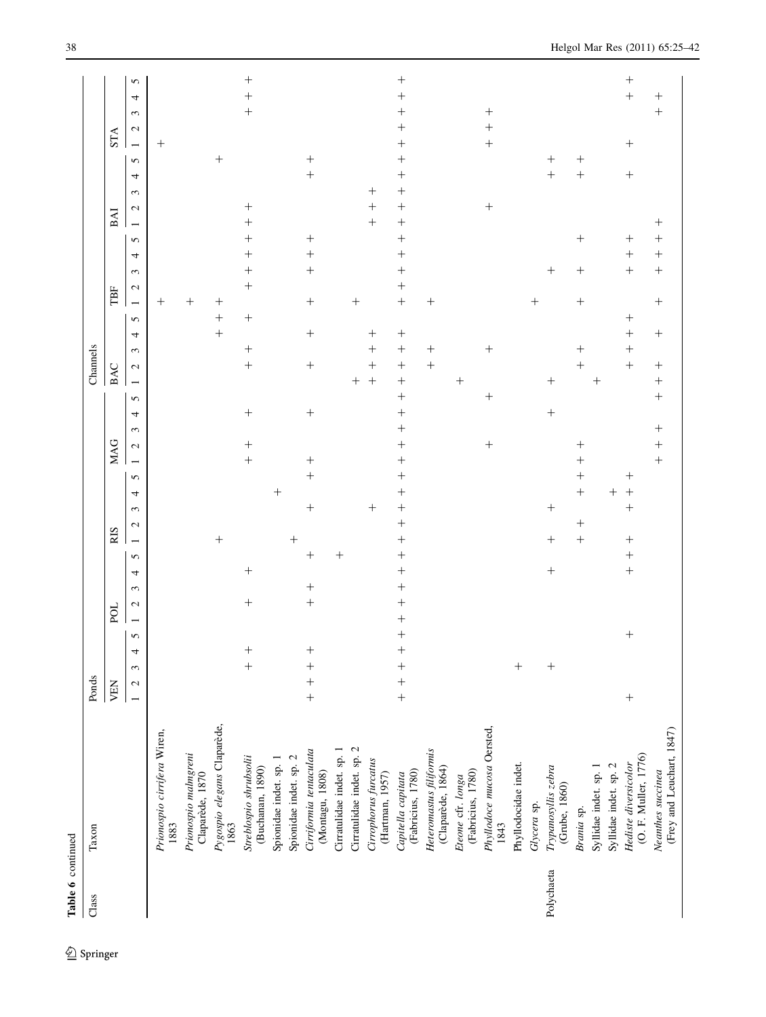Table 6 continued Table 6 continued

| Class      | Taxon                                          | Ponds                                         |                            |                            |                                              |                                                |                                                     | Channels                                                 |                                                     |                                                              |                                    |                                                                        |
|------------|------------------------------------------------|-----------------------------------------------|----------------------------|----------------------------|----------------------------------------------|------------------------------------------------|-----------------------------------------------------|----------------------------------------------------------|-----------------------------------------------------|--------------------------------------------------------------|------------------------------------|------------------------------------------------------------------------|
|            |                                                | VEN                                           | pol                        |                            | RIS                                          | <b>MAG</b>                                     |                                                     | <b>BAC</b>                                               | TBF                                                 | BAI                                                          |                                    | <b>STA</b>                                                             |
|            |                                                | 4<br>3<br>$\mathcal{L}$<br>$\overline{ }$     | $\mathcal{L}$<br>5         | S<br>4<br>$\epsilon$       | 4<br>$\epsilon$<br>$\mathcal{L}$             | $\mathcal{L}$<br>$\overline{\phantom{0}}$<br>S | 5<br>4<br>3                                         | S<br>4<br>3<br>$\mathcal{L}$<br>$\overline{\phantom{0}}$ | 4<br>3<br>$\mathcal{L}$<br>$\overline{\phantom{0}}$ | $\epsilon$<br>$\mathcal{L}$<br>$\overline{\phantom{0}}$<br>5 | $\overline{\phantom{0}}$<br>5<br>4 | 5<br>4<br>3<br>$\mathcal{L}$                                           |
|            | Prionospio cirrifera Wiren,<br>1883            |                                               |                            |                            |                                              |                                                |                                                     |                                                          | $^+$                                                |                                                              | $^+$                               |                                                                        |
|            | Prionospio malmgreni<br>Claparède, 1870        |                                               |                            |                            |                                              |                                                |                                                     |                                                          | $\hspace{0.1mm} +$                                  |                                                              |                                    |                                                                        |
|            | Pygospio elegans Claparède,<br>1863            |                                               |                            |                            | $^{+}$                                       |                                                |                                                     | $^{+}$<br>$\ddot{}$                                      | $^{+}$                                              |                                                              | $^{+}$                             |                                                                        |
|            | Streblospio shrubsolii<br>(Buchanan, 1890)     | $^{+}$<br>$^{+}$                              | $\,+\,$                    | $\hspace{0.1mm} +$         |                                              | $^+$<br>$^{+}$                                 | $^{+}$                                              | $^{+}$<br>$^{+}$<br>$^{+}$                               | $^{+}$<br>$^{+}$                                    | $^{+}$<br>$^{+}$<br>$^+$<br>$^{+}$                           |                                    | $^+$<br>$^+$<br>$\,+\,$                                                |
|            | Spionidae indet. sp. 1                         |                                               |                            |                            | $^+$                                         |                                                |                                                     |                                                          |                                                     |                                                              |                                    |                                                                        |
|            | Spionidae indet. sp. 2                         |                                               |                            |                            | $^{+}$                                       |                                                |                                                     |                                                          |                                                     |                                                              |                                    |                                                                        |
|            | Cirriformia tentaculata<br>(Montagu, 1808)     | $^{+}$<br>$^{+}$<br>$\ddot{}$<br>$\ddot{}$    | $^{+}$                     | $^+$<br>$^+$               | $^{+}$                                       | $^+$                                           | $^{+}$                                              | $^{+}$<br>$^{+}$                                         | $^{+}$<br>$\hspace{0.1mm} +$                        | $^+$<br>$^{+}$                                               | $^+$<br>$^{+}$                     |                                                                        |
|            | Cirratulidae indet. sp. 1                      |                                               |                            | $\hspace{0.1mm} +$         |                                              |                                                |                                                     |                                                          |                                                     |                                                              |                                    |                                                                        |
|            | Cirratulidae indet. sp. 2                      |                                               |                            |                            |                                              |                                                |                                                     | $^{+}$                                                   |                                                     |                                                              |                                    |                                                                        |
|            | Cirrophorus furcatus<br>(Hartman, 1957)        |                                               |                            |                            | $^{+}$                                       |                                                |                                                     | $^{+}$<br>$^{+}$<br>$^{+}$<br>$^{+}$                     |                                                     | $^{+}$<br>$\overline{+}$<br>$^+$                             |                                    |                                                                        |
|            | (Fabricius, 1780)<br>Capitella capitata        | $^{+}$<br>$\ddot{}$<br>$\ddot{}$<br>$\ddot{}$ | $^{+}$<br>$^{+}$<br>$^{+}$ | $^{+}$<br>$^{+}$<br>$^{+}$ | $^{+}$<br>$^{+}$<br>$\overline{+}$<br>$^{+}$ | $\hspace{0.1mm} +$<br>$^+$<br>$^+$             | $\,+\,$<br>$\hspace{0.1mm} +$<br>$\hspace{0.1mm} +$ | $^+$<br>$^{+}$<br>$^{+}$<br>$^{+}$                       | $^{+}$<br>$^{+}$<br>$^{+}$                          | $^{+}$<br>$^+$<br>$^{+}$<br>$^{+}$<br>$^{+}$                 | $\hspace{0.1mm} +$<br>$^+$<br>$^+$ | $^+$<br>$\hspace{0.1mm} +$<br>$\hspace{0.1mm} +$<br>$\hspace{0.1mm} +$ |
|            | Heteromastus filiformis<br>(Claparède, 1864)   |                                               |                            |                            |                                              |                                                |                                                     | $\ddot{}$                                                |                                                     |                                                              |                                    |                                                                        |
|            | (Fabricius, 1780)<br>Eteone cfr. longa         |                                               |                            |                            |                                              |                                                |                                                     | $^{+}$                                                   |                                                     |                                                              |                                    |                                                                        |
|            | Phyllodoce mucosa Oersted,<br>1843             |                                               |                            |                            |                                              | $^{+}$                                         | $^{+}$                                              | $^{+}$                                                   |                                                     | $^{+}$                                                       | $\,+\,$                            | $^{+}$<br>$\,+\,$                                                      |
|            | Phyllodocidae indet.                           | $^{+}$                                        |                            |                            |                                              |                                                |                                                     |                                                          |                                                     |                                                              |                                    |                                                                        |
|            | Glycera sp.                                    |                                               |                            |                            |                                              |                                                |                                                     |                                                          | $^{+}$                                              |                                                              |                                    |                                                                        |
| Polychaeta | Trypanosyllis zebra<br>(Grube, 1860)           | $^{+}$                                        |                            | $^{+}$                     | $\hspace{0.1mm} +$<br>$^+$                   |                                                | $^{+}$                                              | $^+$                                                     | $^{+}$                                              |                                                              | $^{+}$<br>$\ddot{}$                |                                                                        |
|            | Brania sp.                                     |                                               |                            |                            | $^{+}$<br>$^{+}$<br>$^{+}$                   | ┿<br>$\hspace{0.1mm} +$                        |                                                     | $^{+}$<br>$^{+}$                                         | $^{+}$<br>$^{+}$                                    | $^{+}$                                                       | $^{+}$<br>$^{+}$                   |                                                                        |
|            | Syllidae indet. sp. 1                          |                                               |                            |                            |                                              |                                                |                                                     | $^+$                                                     |                                                     |                                                              |                                    |                                                                        |
|            | Syllidae indet. sp. 2                          |                                               |                            |                            | $\,{}^+$                                     |                                                |                                                     |                                                          |                                                     |                                                              |                                    |                                                                        |
|            | (O. F. Muller, 1776)<br>Hediste diversicolor   |                                               | $^+$                       | $^{+}$<br>$\ddot{}$        | $^+$<br>$^{+}$                               | $^+$                                           |                                                     | $^{+}$<br>$^{+}$<br>$^{+}$<br>$^{+}$                     | $^{+}$                                              | $^{+}$<br>$^{+}$                                             | $^{+}$<br>$^{+}$                   | $^+$<br>$^{+}$                                                         |
|            | (Frey and Leuchart, 1847)<br>Neanthes succinea |                                               |                            |                            |                                              | $^{+}$<br>$^{+}$                               | $^{+}$                                              | $^{+}$<br>$\! + \!$<br>$^{+}$                            | $^{+}$                                              | $^{+}$<br>$^{+}$<br>$^{+}$                                   |                                    | $^{+}$<br>$^{+}$                                                       |
|            |                                                |                                               |                            |                            |                                              |                                                |                                                     |                                                          |                                                     |                                                              |                                    |                                                                        |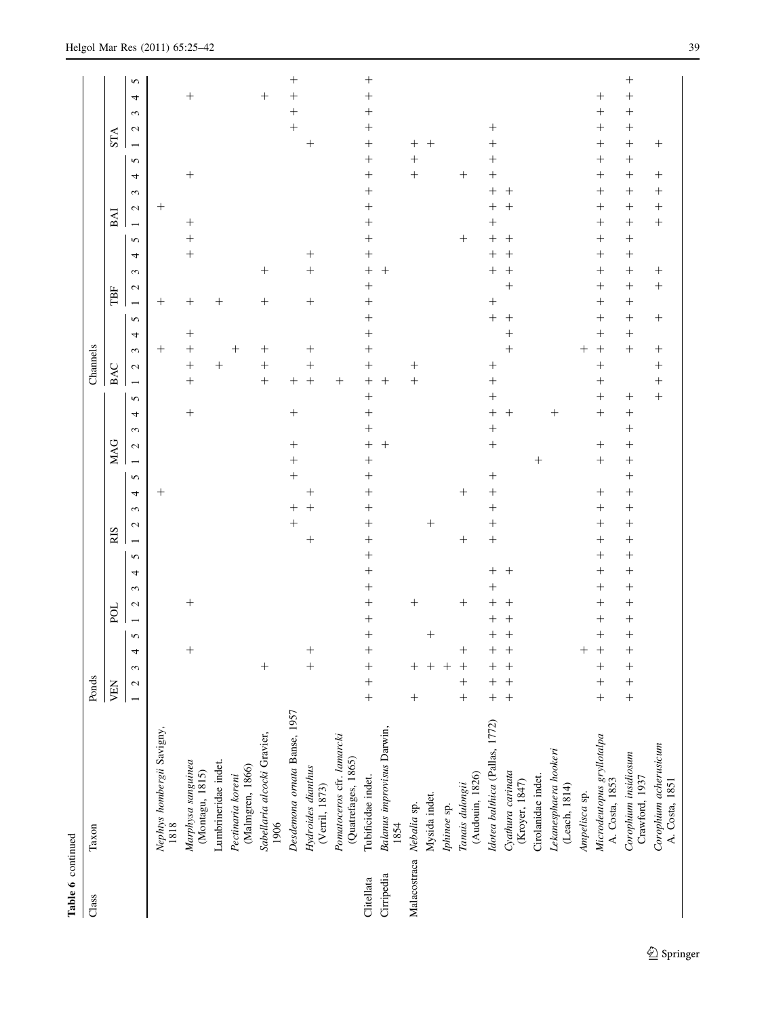| Table 6 continued        |                                                  |                                      |                   |                              |                              |                                         |                    |                                          |        |                                |        |                  |                    |              |                              |                    |                                |           |                          |                    |               |                  |                            |                    |                    |        |        |
|--------------------------|--------------------------------------------------|--------------------------------------|-------------------|------------------------------|------------------------------|-----------------------------------------|--------------------|------------------------------------------|--------|--------------------------------|--------|------------------|--------------------|--------------|------------------------------|--------------------|--------------------------------|-----------|--------------------------|--------------------|---------------|------------------|----------------------------|--------------------|--------------------|--------|--------|
| Class                    | Taxon                                            | Ponds                                |                   |                              |                              |                                         |                    |                                          |        |                                |        |                  |                    | Channels     |                              |                    |                                |           |                          |                    |               |                  |                            |                    |                    |        |        |
|                          |                                                  | VEN                                  |                   | <b>POL</b>                   |                              |                                         | <b>RIS</b>         |                                          |        | <b>MAG</b>                     |        |                  | <b>BAC</b>         |              |                              |                    | TBF                            |           |                          | BAI                |               |                  |                            | <b>STA</b>         |                    |        |        |
|                          |                                                  | 4<br>3<br>$\mathbf{c}$               | 5                 | $\mathbf{c}$                 | 4<br>3                       | $\overline{\phantom{0}}$<br>5           | $\mathbf{c}$       | 4<br>3                                   | 5      | $\mathbf{C}$<br>$\overline{ }$ | 3      | 5<br>4           | $\overline{ }$     | $\mathbf{c}$ | 4<br>3                       | 5                  | $\mathbf{c}$<br>$\overline{ }$ | 3         | 5<br>4                   | $\overline{ }$     | $\mathcal{L}$ | 4<br>3           | 5                          |                    | 3<br>$\mathbf{c}$  | 4      | 5      |
|                          | Nephtys hombergii Savigny,<br>1818               |                                      |                   |                              |                              |                                         |                    | $^+$                                     |        |                                |        |                  |                    |              | $\hspace{0.1mm} +$           |                    | $^{+}$                         |           |                          |                    | $^{+}$        |                  |                            |                    |                    |        |        |
|                          | Marphysa sanguinea<br>(Montagu, 1815)            |                                      | $\qquad \qquad +$ | $^+$                         |                              |                                         |                    |                                          |        |                                |        | $^{+}$           | $^{+}$             | $^{+}$       | $\hspace{0.1mm} +$<br>$^{+}$ |                    | $^+$                           |           | $^{+}$                   | $^+$<br>$^{+}$     |               | $^+$             |                            |                    |                    | $^{+}$ |        |
|                          | Lumbrineridae indet.                             |                                      |                   |                              |                              |                                         |                    |                                          |        |                                |        |                  |                    | $^{+}$       |                              |                    | $^+$                           |           |                          |                    |               |                  |                            |                    |                    |        |        |
|                          | (Malmgren, 1866)<br>Pectinaria koreni            |                                      |                   |                              |                              |                                         |                    |                                          |        |                                |        |                  |                    |              | $\,{}^{+}\,$                 |                    |                                |           |                          |                    |               |                  |                            |                    |                    |        |        |
|                          | Sabellaria alcocki Gravier,<br>1906              | $^{+}$                               |                   |                              |                              |                                         |                    |                                          |        |                                |        |                  | $^{+}$             | $^{+}$       | $^+$                         |                    | $^{+}$                         | $^{+}$    |                          |                    |               |                  |                            |                    |                    | $^+$   |        |
|                          | Desdemona ornata Banse, 1957                     |                                      |                   |                              |                              |                                         | $^{+}$             | $^+$                                     | $^{+}$ | $^{+}$<br>$\,+\,$              |        | $^{+}$           | $^+$               |              |                              |                    |                                |           |                          |                    |               |                  |                            |                    | $^+$<br>$^{+}$     | $^+$   |        |
|                          | Hydroides dianthus<br>(Verril, 1873)             | $^{+}$<br>$^{+}$                     |                   |                              |                              | $^{+}$                                  |                    |                                          |        |                                |        |                  | $\hspace{0.1mm} +$ | $^+$         | $^+$                         |                    | $^{+}$                         | $^{+}$    | $^{+}$                   |                    |               |                  |                            | $^{+}$             |                    |        |        |
|                          | Pomatoceros cfr. lamarcki<br>(Quatrefages, 1865) |                                      |                   |                              |                              |                                         |                    |                                          |        |                                |        |                  | $^+$               |              |                              |                    |                                |           |                          |                    |               |                  |                            |                    |                    |        |        |
| Clitellata               | Tubificidae indet.                               | $^{+}$<br>$^{+}$<br>$^{+}$           | $^{+}$<br>$^{+}$  |                              | ┿                            | $\hspace{.1cm} + \hspace{.1cm}$<br>$^+$ | $\, + \,$          | $\hspace{0.1mm} +$<br>$\hspace{0.1mm} +$ |        | $^{+}$<br>$\hspace{0.1mm} +$   | $^+$   | $^+$             | $^{+}$<br>$\,+\,$  | $\, +$       |                              |                    | $\hspace{0.1mm} +$             | $\, + \,$ | $^+$                     | $\hspace{0.1mm} +$ | $\, +$        | $^{+}$           | $\overline{+}$<br>$\, +$   | $\hspace{0.1mm} +$ |                    |        | $^+$   |
| Cirripedia               | Balanus improvisus Darwin,<br>1854               |                                      |                   |                              |                              |                                         |                    |                                          |        | $^+$                           |        |                  | $^+$               |              |                              |                    |                                | $^+$      |                          |                    |               |                  |                            |                    |                    |        |        |
| Malacostraca Nebalia sp. |                                                  | $^{+}$<br>$\hspace{0.1mm} +$         |                   | $^+$                         |                              |                                         |                    |                                          |        |                                |        |                  | $^{+}$             | $^+$         |                              |                    |                                |           |                          |                    |               |                  | $^+$<br>$^{+}$             | $^+$               |                    |        |        |
|                          | Mysida indet.                                    | $\hspace{0.1mm} +$                   |                   |                              |                              |                                         | $\hspace{0.1mm} +$ |                                          |        |                                |        |                  |                    |              |                              |                    |                                |           |                          |                    |               |                  |                            | $^{+}$             |                    |        |        |
|                          | Iphinoe sp.                                      |                                      |                   |                              |                              |                                         |                    |                                          |        |                                |        |                  |                    |              |                              |                    |                                |           |                          |                    |               |                  |                            |                    |                    |        |        |
|                          | (Audouin, 1826)<br>Tanais dulongii               | $\hspace{0.1mm} +$<br>$^{+}$         | $\,{}^{+}\,$      | $^+$                         |                              | $^+$                                    |                    | $^+$                                     |        |                                |        |                  |                    |              |                              |                    |                                |           | $^+$                     |                    |               | $^+$             |                            |                    |                    |        |        |
|                          | Idotea balthica (Pallas, 1772)                   | $\, +$                               | $\, + \,$         |                              | $\hspace{0.1mm} +$           | $^{+}$                                  | $^{+}$             | $^{+}$<br>$^{+}$                         | $^{+}$ | $^{+}$                         | $^{+}$ | $^+$             | $\,+\,$<br>$^+$    | $^{+}$       |                              | $^+$               | $^+$                           |           |                          | $^+$               | $^+$          | $^+$             | $\hspace{0.1mm} +$<br>$^+$ | $^+$               | $\hspace{0.1mm} +$ |        |        |
|                          | Cyathura carinata<br>(Kroyer, 1847)              | $^{+}$                               | $^{+}$            |                              | $^{+}$                       |                                         |                    |                                          |        |                                |        | $^{+}$           |                    |              | $\, + \,$<br>$^+$            | ┿                  |                                |           |                          |                    |               | $^+$             |                            |                    |                    |        |        |
|                          | Cirolanidae indet.                               |                                      |                   |                              |                              |                                         |                    |                                          |        | $^+$                           |        |                  |                    |              |                              |                    |                                |           |                          |                    |               |                  |                            |                    |                    |        |        |
|                          | Lekanesphaera hookeri<br>(Leach, 1814)           |                                      |                   |                              |                              |                                         |                    |                                          |        |                                |        | $^{+}$           |                    |              |                              |                    |                                |           |                          |                    |               |                  |                            |                    |                    |        |        |
|                          | Ampelisca sp.                                    |                                      | $^{+}$            |                              |                              |                                         |                    |                                          |        |                                |        |                  |                    |              | $\, + \,$                    |                    |                                |           |                          |                    |               |                  |                            |                    |                    |        |        |
|                          | Microdeutopus gryllotalpa<br>A. Costa, 1853      | $\overline{+}$<br>$\, +$<br>$^{+}$   | $^{+}$<br>$^{+}$  | $\hspace{0.1mm} +$<br>$^{+}$ | $\hspace{0.1mm} +$<br>$\, +$ | $^{+}$<br>$\, +$                        | $\overline{+}$     | $^{+}$<br>$^{+}$                         |        | $^{+}$                         |        | $^{+}$<br>$^{+}$ | $\overline{+}$     | $^{+}$       | $\hspace{0.1mm} +$<br>$^{+}$ | $\hspace{0.1mm} +$ | $^{+}$<br>$^+$                 | $\, +$    | $\overline{+}$<br>$^{+}$ | $\overline{+}$     | $^{+}$        | $^{+}$<br>$^{+}$ | $^{+}$                     | $^{+}$             | $^{+}$<br>$^{+}$   | $^+$   |        |
|                          | Corophium insidiosum<br>Crawford, 1937           | $^{+}$<br>$^{+}$<br>$^{+}$<br>$^{+}$ | $^{+}$            | $^{+}$<br>$^{+}$             | $^{+}$<br>$^{+}$             | $^{+}$<br>$^{+}$                        | $^{+}$             | $^{+}$<br>$^{+}$                         | $^{+}$ | $^{+}$<br>$^{+}$               | $^{+}$ | $^{+}$<br>$^{+}$ |                    |              | $^{+}$<br>$^{+}$             | $^{+}$             |                                | $^{+}$    | $^{+}$                   | $^{+}$<br>$^{+}$   | $\! + \!$     | $^{+}$           | $^{+}$<br>$^{+}$           | $\! + \!$          | $^{+}$<br>$^{+}$   | $^{+}$ | $^{+}$ |
|                          | Corophium acherusicum<br>A. Costa, 1851          |                                      |                   |                              |                              |                                         |                    |                                          |        |                                |        |                  | $^{+}$<br>$^{+}$   | $^{+}$       |                              | $\boldsymbol{+}$   |                                | $^{+}$    |                          | $^{+}$             | $\! + \!$     | $^{+}$           |                            |                    |                    |        |        |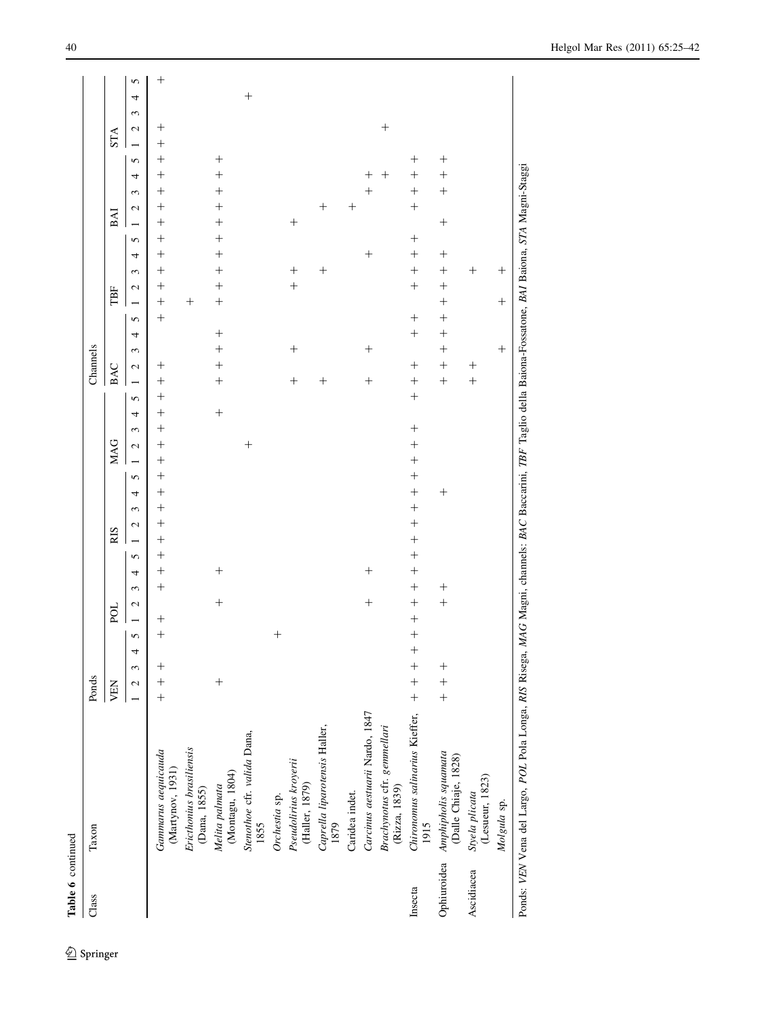| Table 6 continued |                                                          |                               |           |           |        |        |        |        |              |                     |        |        |              |           |              |        |        |              |        |               |           |                  |                  |           |           |        |                    |                   |              |        |                   |        |                |   |           |        |
|-------------------|----------------------------------------------------------|-------------------------------|-----------|-----------|--------|--------|--------|--------|--------------|---------------------|--------|--------|--------------|-----------|--------------|--------|--------|--------------|--------|---------------|-----------|------------------|------------------|-----------|-----------|--------|--------------------|-------------------|--------------|--------|-------------------|--------|----------------|---|-----------|--------|
| Class             | Taxon                                                    | Ponds                         |           |           |        |        |        |        |              |                     |        |        |              |           |              |        |        |              |        | Channels      |           |                  |                  |           |           |        |                    |                   |              |        |                   |        |                |   |           |        |
|                   |                                                          | VEN                           |           |           | POL    |        |        |        |              | RIS                 |        |        |              |           | MAG          |        |        |              | BAC    |               |           |                  |                  | TBF       |           |        |                    | BAI               |              |        |                   |        | <b>STA</b>     |   |           |        |
|                   |                                                          | 3<br>$\overline{\mathcal{L}}$ | 4         | 5         |        | 2      | 3      | 4      | $\mathbf{v}$ | 2                   | 3      | 4      | $\mathbf{v}$ |           | $\mathbf{c}$ | 3      | 4      | $\mathbf{v}$ |        | $\mathcal{L}$ | 4<br>3    | $\mathbf{v}$     |                  | 2         | 3         | 4      | $\mathbf{\hat{z}}$ |                   | $\mathbf{C}$ | 3      | $\mathbf{v}$<br>4 |        | $\overline{c}$ | 3 | 4         | 5      |
|                   | Gammarus aequicauda<br>(Martynov, 1931)                  | $+$ $+$ $+$                   |           | $^{+}$    | $^{+}$ |        | $^{+}$ | $^{+}$ | $^{+}$       | $^{+}$<br>$^{+}$    | $^{+}$ | $^{+}$ | $^{+}$       | $^{+}$    | $^{+}$       | $^{+}$ | $^{+}$ | $^{+}$       | $^{+}$ | $^{+}$        |           | $^{+}$           | $\ddot{}$        | $^{+}$    | $\ddot{}$ | $^{+}$ | $^{+}$             | $^{+}$            | $^{+}$       | $^{+}$ | $^{+}$<br>$^{+}$  | $^{+}$ |                |   |           | $^{+}$ |
|                   | Ericthonius brasiliensis<br>(Dana, 1855)                 |                               |           |           |        |        |        |        |              |                     |        |        |              |           |              |        |        |              |        |               |           |                  | $^{+}$           |           |           |        |                    |                   |              |        |                   |        |                |   |           |        |
|                   | (Montagu, 1804)<br>Melita palmata                        | $^{+}$                        |           |           |        | $^{+}$ |        | $^{+}$ |              |                     |        |        |              |           |              |        | $^{+}$ |              | $^{+}$ | $\ddot{}$     | $^{+}$    | $^{+}$           | $^{+}$           | $\ddot{}$ | $\ddot{}$ | $^{+}$ | $\ddot{}$          | $^{+}$            | $^{+}$       | $^{+}$ | $^{+}$<br>$^{+}$  |        |                |   |           |        |
|                   | Stenothoe cfr. valida Dana,<br>1855                      |                               |           |           |        |        |        |        |              |                     |        |        |              |           | $^{+}$       |        |        |              |        |               |           |                  |                  |           |           |        |                    |                   |              |        |                   |        |                |   | $\! + \!$ |        |
|                   | Orchestia sp.                                            |                               |           | $\! + \!$ |        |        |        |        |              |                     |        |        |              |           |              |        |        |              |        |               |           |                  |                  |           |           |        |                    |                   |              |        |                   |        |                |   |           |        |
|                   | Pseudolirius kroyerii<br>(Haller, 1879)                  |                               |           |           |        |        |        |        |              |                     |        |        |              |           |              |        |        |              | $^{+}$ |               | $^{+}$    |                  |                  | $\ddot{}$ | $^{+}$    |        |                    | $^{+}$            |              |        |                   |        |                |   |           |        |
|                   | Caprella liparotensis Haller,<br>1879                    |                               |           |           |        |        |        |        |              |                     |        |        |              |           |              |        |        |              | $^{+}$ |               |           |                  |                  |           | $^{+}$    |        |                    |                   | $^{+}$       |        |                   |        |                |   |           |        |
|                   | Caridea indet.                                           |                               |           |           |        |        |        |        |              |                     |        |        |              |           |              |        |        |              |        |               |           |                  |                  |           |           |        |                    |                   | $^{+}$       |        |                   |        |                |   |           |        |
|                   | Carcinus aestuarii Nardo, 1847                           |                               |           |           |        | $^{+}$ |        | $^{+}$ |              |                     |        |        |              |           |              |        |        |              | $^{+}$ |               | $^{+}$    |                  |                  |           |           | $^{+}$ |                    |                   |              | $^{+}$ | $^{+}$            |        |                |   |           |        |
|                   | Brachynotus cfr. gemmellari<br>(Rizza, 1839)             |                               |           |           |        |        |        |        |              |                     |        |        |              |           |              |        |        |              |        |               |           |                  |                  |           |           |        |                    |                   |              |        | $\! + \!$         |        | $^{+}$         |   |           |        |
| Insecta           | Chironomus salinarius Kieffer, + +<br>1915               |                               | $\! + \!$ | $^{+}$    | $^{+}$ | $^{+}$ | $^{+}$ | $^{+}$ | $\ddot{}$    | $^{+}$<br>$\ddot{}$ | $^{+}$ | $^{+}$ | $^{+}$       | $\ddot{}$ | $^{+}$       |        |        | $\ddot{}$    | $^{+}$ |               |           | $^{+}$<br>$^{+}$ |                  | $^{+}$    | $\ddot{}$ | $^{+}$ | $^{+}$             |                   | $^{+}$       | $^{+}$ | $^{+}$<br>$^{+}$  |        |                |   |           |        |
|                   | Ophiuroidea Amphipholis squamata<br>(Dalle Chiaje, 1828) | $+$ $+$ $+$                   |           |           |        | $^{+}$ | $^{+}$ |        |              |                     |        | $^{+}$ |              |           |              |        |        |              | $^{+}$ | $^{+}$        | $\ddot{}$ | $^{+}$           | $^{+}$<br>$^{+}$ | $^{+}$    | $^{+}$    | $^{+}$ |                    | $\qquad \qquad +$ |              | $^{+}$ | $^{+}$<br>$^{+}$  |        |                |   |           |        |

+<br>+<br>+<br>+

 $\ddot{}$  $\ddot{}$ 

 $^{+}$ 

 $^{+}$ 

 $\ddot{}$ 

 $\ddot{}$ 

Ascidiacea Styela plicata

Ascidiacea

(Lesueur, 1823)

Styela plicata<br>(Lesueur, 1823) Molgula sp.

Molgula sp. ? ??

Ponds: VEN Vena del Largo, POL Pola Longa, RIS Risega, MAG Magni, channels: BAC Baccarini, TBF Taglio della Baiona-Fossatone, BAI Baiona, STA Magni-Staggi

Ponds: VEN Vena del Largo, POL Pola Longa, RIS Risega, MAG Magni, channels: BAC Baccarini, TBF Taglio della Baiona-Fossatone, BAI Baiona, STA Magni-Staggi

 $\qquad \qquad +$  $\mathbf{v}$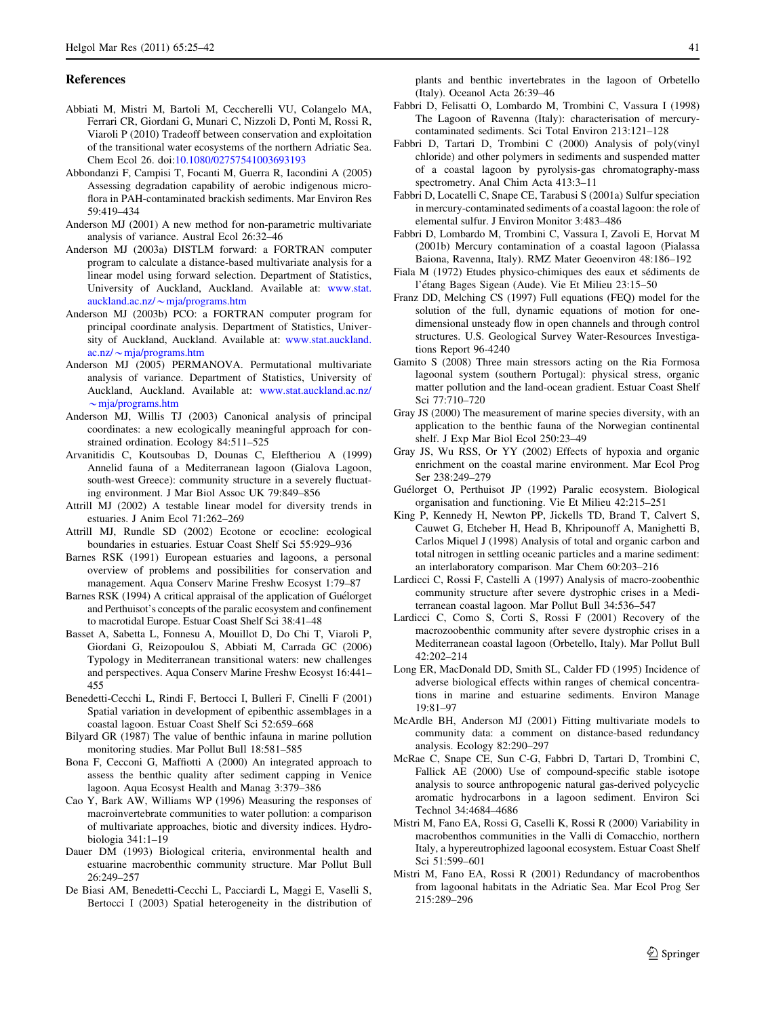#### <span id="page-16-0"></span>References

- Abbiati M, Mistri M, Bartoli M, Ceccherelli VU, Colangelo MA, Ferrari CR, Giordani G, Munari C, Nizzoli D, Ponti M, Rossi R, Viaroli P (2010) Tradeoff between conservation and exploitation of the transitional water ecosystems of the northern Adriatic Sea. Chem Ecol 26. doi[:10.1080/02757541003693193](http://dx.doi.org/10.1080/02757541003693193)
- Abbondanzi F, Campisi T, Focanti M, Guerra R, Iacondini A (2005) Assessing degradation capability of aerobic indigenous microflora in PAH-contaminated brackish sediments. Mar Environ Res 59:419–434
- Anderson MJ (2001) A new method for non-parametric multivariate analysis of variance. Austral Ecol 26:32–46
- Anderson MJ (2003a) DISTLM forward: a FORTRAN computer program to calculate a distance-based multivariate analysis for a linear model using forward selection. Department of Statistics, University of Auckland, Auckland. Available at: [www.stat.](http://www.stat.auckland.ac.nz/~mja/programs.htm) auckland.ac.nz/ $\sim$ [mja/programs.htm](http://www.stat.auckland.ac.nz/~mja/programs.htm)
- Anderson MJ (2003b) PCO: a FORTRAN computer program for principal coordinate analysis. Department of Statistics, University of Auckland, Auckland. Available at: [www.stat.auckland.](http://www.stat.auckland.ac.nz/~mja/programs.htm)  $ac.nz/\sim$ [mja/programs.htm](http://www.stat.auckland.ac.nz/~mja/programs.htm)
- Anderson MJ (2005) PERMANOVA. Permutational multivariate analysis of variance. Department of Statistics, University of Auckland, Auckland. Available at: [www.stat.auckland.ac.nz/](http://www.stat.auckland.ac.nz/~mja/programs.htm)  $\sim$ mia/programs.htm
- Anderson MJ, Willis TJ (2003) Canonical analysis of principal coordinates: a new ecologically meaningful approach for constrained ordination. Ecology 84:511–525
- Arvanitidis C, Koutsoubas D, Dounas C, Eleftheriou A (1999) Annelid fauna of a Mediterranean lagoon (Gialova Lagoon, south-west Greece): community structure in a severely fluctuating environment. J Mar Biol Assoc UK 79:849–856
- Attrill MJ (2002) A testable linear model for diversity trends in estuaries. J Anim Ecol 71:262–269
- Attrill MJ, Rundle SD (2002) Ecotone or ecocline: ecological boundaries in estuaries. Estuar Coast Shelf Sci 55:929–936
- Barnes RSK (1991) European estuaries and lagoons, a personal overview of problems and possibilities for conservation and management. Aqua Conserv Marine Freshw Ecosyst 1:79–87
- Barnes RSK (1994) A critical appraisal of the application of Guélorget and Perthuisot's concepts of the paralic ecosystem and confinement to macrotidal Europe. Estuar Coast Shelf Sci 38:41–48
- Basset A, Sabetta L, Fonnesu A, Mouillot D, Do Chi T, Viaroli P, Giordani G, Reizopoulou S, Abbiati M, Carrada GC (2006) Typology in Mediterranean transitional waters: new challenges and perspectives. Aqua Conserv Marine Freshw Ecosyst 16:441– 455
- Benedetti-Cecchi L, Rindi F, Bertocci I, Bulleri F, Cinelli F (2001) Spatial variation in development of epibenthic assemblages in a coastal lagoon. Estuar Coast Shelf Sci 52:659–668
- Bilyard GR (1987) The value of benthic infauna in marine pollution monitoring studies. Mar Pollut Bull 18:581–585
- Bona F, Cecconi G, Maffiotti A (2000) An integrated approach to assess the benthic quality after sediment capping in Venice lagoon. Aqua Ecosyst Health and Manag 3:379–386
- Cao Y, Bark AW, Williams WP (1996) Measuring the responses of macroinvertebrate communities to water pollution: a comparison of multivariate approaches, biotic and diversity indices. Hydrobiologia 341:1–19
- Dauer DM (1993) Biological criteria, environmental health and estuarine macrobenthic community structure. Mar Pollut Bull 26:249–257
- De Biasi AM, Benedetti-Cecchi L, Pacciardi L, Maggi E, Vaselli S, Bertocci I (2003) Spatial heterogeneity in the distribution of

plants and benthic invertebrates in the lagoon of Orbetello (Italy). Oceanol Acta 26:39–46

- Fabbri D, Felisatti O, Lombardo M, Trombini C, Vassura I (1998) The Lagoon of Ravenna (Italy): characterisation of mercurycontaminated sediments. Sci Total Environ 213:121–128
- Fabbri D, Tartari D, Trombini C (2000) Analysis of poly(vinyl chloride) and other polymers in sediments and suspended matter of a coastal lagoon by pyrolysis-gas chromatography-mass spectrometry. Anal Chim Acta 413:3–11
- Fabbri D, Locatelli C, Snape CE, Tarabusi S (2001a) Sulfur speciation in mercury-contaminated sediments of a coastal lagoon: the role of elemental sulfur. J Environ Monitor 3:483–486
- Fabbri D, Lombardo M, Trombini C, Vassura I, Zavoli E, Horvat M (2001b) Mercury contamination of a coastal lagoon (Pialassa Baiona, Ravenna, Italy). RMZ Mater Geoenviron 48:186–192
- Fiala M (1972) Etudes physico-chimiques des eaux et sédiments de l'étang Bages Sigean (Aude). Vie Et Milieu 23:15–50
- Franz DD, Melching CS (1997) Full equations (FEQ) model for the solution of the full, dynamic equations of motion for onedimensional unsteady flow in open channels and through control structures. U.S. Geological Survey Water-Resources Investigations Report 96-4240
- Gamito S (2008) Three main stressors acting on the Ria Formosa lagoonal system (southern Portugal): physical stress, organic matter pollution and the land-ocean gradient. Estuar Coast Shelf Sci 77:710–720
- Gray JS (2000) The measurement of marine species diversity, with an application to the benthic fauna of the Norwegian continental shelf. J Exp Mar Biol Ecol 250:23–49
- Gray JS, Wu RSS, Or YY (2002) Effects of hypoxia and organic enrichment on the coastal marine environment. Mar Ecol Prog Ser 238:249–279
- Guélorget O, Perthuisot JP (1992) Paralic ecosystem. Biological organisation and functioning. Vie Et Milieu 42:215–251
- King P, Kennedy H, Newton PP, Jickells TD, Brand T, Calvert S, Cauwet G, Etcheber H, Head B, Khripounoff A, Manighetti B, Carlos Miquel J (1998) Analysis of total and organic carbon and total nitrogen in settling oceanic particles and a marine sediment: an interlaboratory comparison. Mar Chem 60:203–216
- Lardicci C, Rossi F, Castelli A (1997) Analysis of macro-zoobenthic community structure after severe dystrophic crises in a Mediterranean coastal lagoon. Mar Pollut Bull 34:536–547
- Lardicci C, Como S, Corti S, Rossi F (2001) Recovery of the macrozoobenthic community after severe dystrophic crises in a Mediterranean coastal lagoon (Orbetello, Italy). Mar Pollut Bull 42:202–214
- Long ER, MacDonald DD, Smith SL, Calder FD (1995) Incidence of adverse biological effects within ranges of chemical concentrations in marine and estuarine sediments. Environ Manage 19:81–97
- McArdle BH, Anderson MJ (2001) Fitting multivariate models to community data: a comment on distance-based redundancy analysis. Ecology 82:290–297
- McRae C, Snape CE, Sun C-G, Fabbri D, Tartari D, Trombini C, Fallick AE (2000) Use of compound-specific stable isotope analysis to source anthropogenic natural gas-derived polycyclic aromatic hydrocarbons in a lagoon sediment. Environ Sci Technol 34:4684–4686
- Mistri M, Fano EA, Rossi G, Caselli K, Rossi R (2000) Variability in macrobenthos communities in the Valli di Comacchio, northern Italy, a hypereutrophized lagoonal ecosystem. Estuar Coast Shelf Sci 51:599–601
- Mistri M, Fano EA, Rossi R (2001) Redundancy of macrobenthos from lagoonal habitats in the Adriatic Sea. Mar Ecol Prog Ser 215:289–296